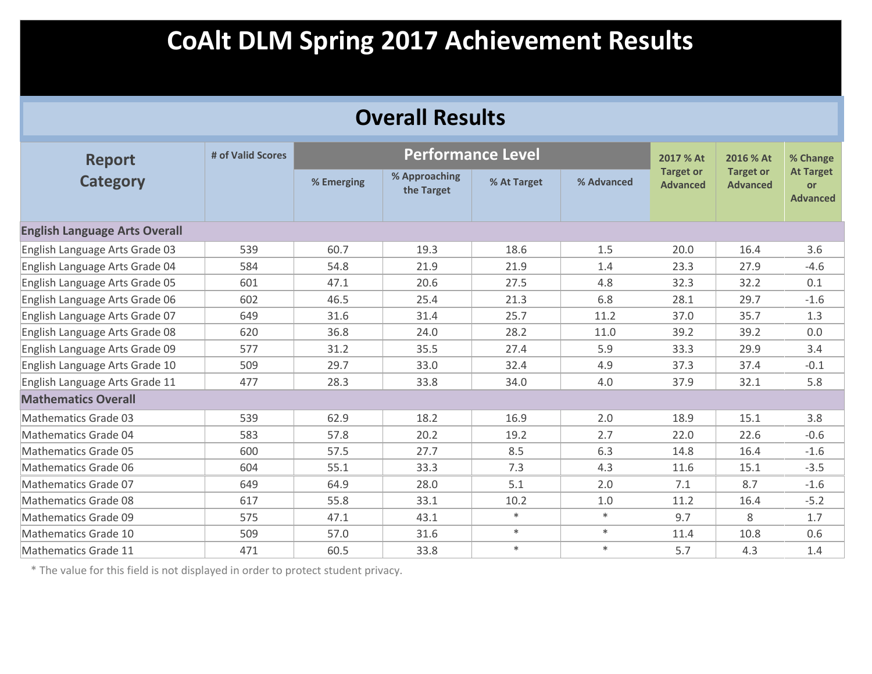| <b>Overall Results</b>               |                   |            |                             |             |            |                                     |                                     |                                                  |  |  |
|--------------------------------------|-------------------|------------|-----------------------------|-------------|------------|-------------------------------------|-------------------------------------|--------------------------------------------------|--|--|
| <b>Report</b>                        | # of Valid Scores |            | <b>Performance Level</b>    |             |            | 2017 % At                           | 2016 % At                           | % Change                                         |  |  |
| <b>Category</b>                      |                   | % Emerging | % Approaching<br>the Target | % At Target | % Advanced | <b>Target or</b><br><b>Advanced</b> | <b>Target or</b><br><b>Advanced</b> | <b>At Target</b><br><b>or</b><br><b>Advanced</b> |  |  |
| <b>English Language Arts Overall</b> |                   |            |                             |             |            |                                     |                                     |                                                  |  |  |
| English Language Arts Grade 03       | 539               | 60.7       | 19.3                        | 18.6        | 1.5        | 20.0                                | 16.4                                | 3.6                                              |  |  |
| English Language Arts Grade 04       | 584               | 54.8       | 21.9                        | 21.9        | 1.4        | 23.3                                | 27.9                                | $-4.6$                                           |  |  |
| English Language Arts Grade 05       | 601               | 47.1       | 20.6                        | 27.5        | 4.8        | 32.3                                | 32.2                                | 0.1                                              |  |  |
| English Language Arts Grade 06       | 602               | 46.5       | 25.4                        | 21.3        | 6.8        | 28.1                                | 29.7                                | $-1.6$                                           |  |  |
| English Language Arts Grade 07       | 649               | 31.6       | 31.4                        | 25.7        | 11.2       | 37.0                                | 35.7                                | 1.3                                              |  |  |
| English Language Arts Grade 08       | 620               | 36.8       | 24.0                        | 28.2        | 11.0       | 39.2                                | 39.2                                | 0.0                                              |  |  |
| English Language Arts Grade 09       | 577               | 31.2       | 35.5                        | 27.4        | 5.9        | 33.3                                | 29.9                                | 3.4                                              |  |  |
| English Language Arts Grade 10       | 509               | 29.7       | 33.0                        | 32.4        | 4.9        | 37.3                                | 37.4                                | $-0.1$                                           |  |  |
| English Language Arts Grade 11       | 477               | 28.3       | 33.8                        | 34.0        | 4.0        | 37.9                                | 32.1                                | 5.8                                              |  |  |
| <b>Mathematics Overall</b>           |                   |            |                             |             |            |                                     |                                     |                                                  |  |  |
| <b>Mathematics Grade 03</b>          | 539               | 62.9       | 18.2                        | 16.9        | 2.0        | 18.9                                | 15.1                                | 3.8                                              |  |  |
| <b>Mathematics Grade 04</b>          | 583               | 57.8       | 20.2                        | 19.2        | 2.7        | 22.0                                | 22.6                                | $-0.6$                                           |  |  |
| <b>Mathematics Grade 05</b>          | 600               | 57.5       | 27.7                        | 8.5         | 6.3        | 14.8                                | 16.4                                | $-1.6$                                           |  |  |
| <b>Mathematics Grade 06</b>          | 604               | 55.1       | 33.3                        | 7.3         | 4.3        | 11.6                                | 15.1                                | $-3.5$                                           |  |  |
| <b>Mathematics Grade 07</b>          | 649               | 64.9       | 28.0                        | 5.1         | 2.0        | 7.1                                 | 8.7                                 | $-1.6$                                           |  |  |
| <b>Mathematics Grade 08</b>          | 617               | 55.8       | 33.1                        | 10.2        | 1.0        | 11.2                                | 16.4                                | $-5.2$                                           |  |  |
| <b>Mathematics Grade 09</b>          | 575               | 47.1       | 43.1                        | $\ast$      | $\ast$     | 9.7                                 | 8                                   | 1.7                                              |  |  |
| Mathematics Grade 10                 | 509               | 57.0       | 31.6                        | $\ast$      | $*$        | 11.4                                | 10.8                                | 0.6                                              |  |  |
| Mathematics Grade 11                 | 471               | 60.5       | 33.8                        | $\ast$      | $\ast$     | 5.7                                 | 4.3                                 | 1.4                                              |  |  |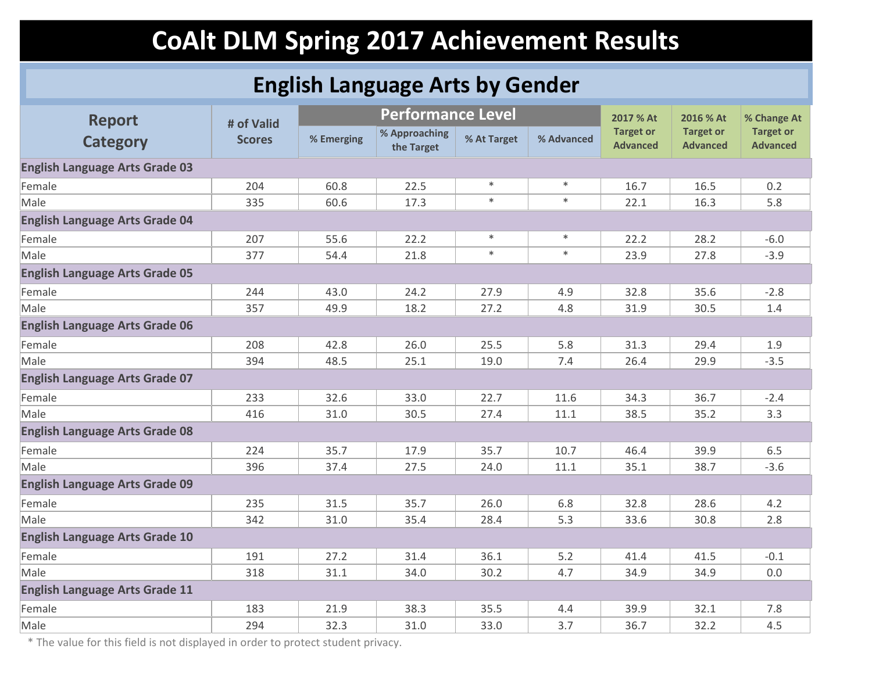### **English Language Arts by Gender**

| <b>Report</b>                         | # of Valid    |            | <b>Performance Level</b>    |             |            | 2017 % At                           | 2016 % At                           | % Change At                         |
|---------------------------------------|---------------|------------|-----------------------------|-------------|------------|-------------------------------------|-------------------------------------|-------------------------------------|
| <b>Category</b>                       | <b>Scores</b> | % Emerging | % Approaching<br>the Target | % At Target | % Advanced | <b>Target or</b><br><b>Advanced</b> | <b>Target or</b><br><b>Advanced</b> | <b>Target or</b><br><b>Advanced</b> |
| <b>English Language Arts Grade 03</b> |               |            |                             |             |            |                                     |                                     |                                     |
| Female                                | 204           | 60.8       | 22.5                        | $\ast$      | $\ast$     | 16.7                                | 16.5                                | 0.2                                 |
| Male                                  | 335           | 60.6       | 17.3                        | $\ast$      | $\ast$     | 22.1                                | 16.3                                | 5.8                                 |
| <b>English Language Arts Grade 04</b> |               |            |                             |             |            |                                     |                                     |                                     |
| Female                                | 207           | 55.6       | 22.2                        | $\ast$      | $\ast$     | 22.2                                | 28.2                                | $-6.0$                              |
| Male                                  | 377           | 54.4       | 21.8                        | $\ast$      | $\ast$     | 23.9                                | 27.8                                | $-3.9$                              |
| <b>English Language Arts Grade 05</b> |               |            |                             |             |            |                                     |                                     |                                     |
| Female                                | 244           | 43.0       | 24.2                        | 27.9        | 4.9        | 32.8                                | 35.6                                | $-2.8$                              |
| Male                                  | 357           | 49.9       | 18.2                        | 27.2        | 4.8        | 31.9                                | 30.5                                | 1.4                                 |
| <b>English Language Arts Grade 06</b> |               |            |                             |             |            |                                     |                                     |                                     |
| Female                                | 208           | 42.8       | 26.0                        | 25.5        | 5.8        | 31.3                                | 29.4                                | 1.9                                 |
| Male                                  | 394           | 48.5       | 25.1                        | 19.0        | 7.4        | 26.4                                | 29.9                                | $-3.5$                              |
| <b>English Language Arts Grade 07</b> |               |            |                             |             |            |                                     |                                     |                                     |
| Female                                | 233           | 32.6       | 33.0                        | 22.7        | 11.6       | 34.3                                | 36.7                                | $-2.4$                              |
| Male                                  | 416           | 31.0       | 30.5                        | 27.4        | 11.1       | 38.5                                | 35.2                                | 3.3                                 |
| <b>English Language Arts Grade 08</b> |               |            |                             |             |            |                                     |                                     |                                     |
| Female                                | 224           | 35.7       | 17.9                        | 35.7        | 10.7       | 46.4                                | 39.9                                | 6.5                                 |
| Male                                  | 396           | 37.4       | 27.5                        | 24.0        | 11.1       | 35.1                                | 38.7                                | $-3.6$                              |
| <b>English Language Arts Grade 09</b> |               |            |                             |             |            |                                     |                                     |                                     |
| Female                                | 235           | 31.5       | 35.7                        | 26.0        | 6.8        | 32.8                                | 28.6                                | 4.2                                 |
| Male                                  | 342           | 31.0       | 35.4                        | 28.4        | 5.3        | 33.6                                | 30.8                                | 2.8                                 |
| <b>English Language Arts Grade 10</b> |               |            |                             |             |            |                                     |                                     |                                     |
| Female                                | 191           | 27.2       | 31.4                        | 36.1        | 5.2        | 41.4                                | 41.5                                | $-0.1$                              |
| Male                                  | 318           | 31.1       | 34.0                        | 30.2        | 4.7        | 34.9                                | 34.9                                | 0.0                                 |
| <b>English Language Arts Grade 11</b> |               |            |                             |             |            |                                     |                                     |                                     |
| Female                                | 183           | 21.9       | 38.3                        | 35.5        | 4.4        | 39.9                                | 32.1                                | 7.8                                 |
| Male                                  | 294           | 32.3       | 31.0                        | 33.0        | 3.7        | 36.7                                | 32.2                                | 4.5                                 |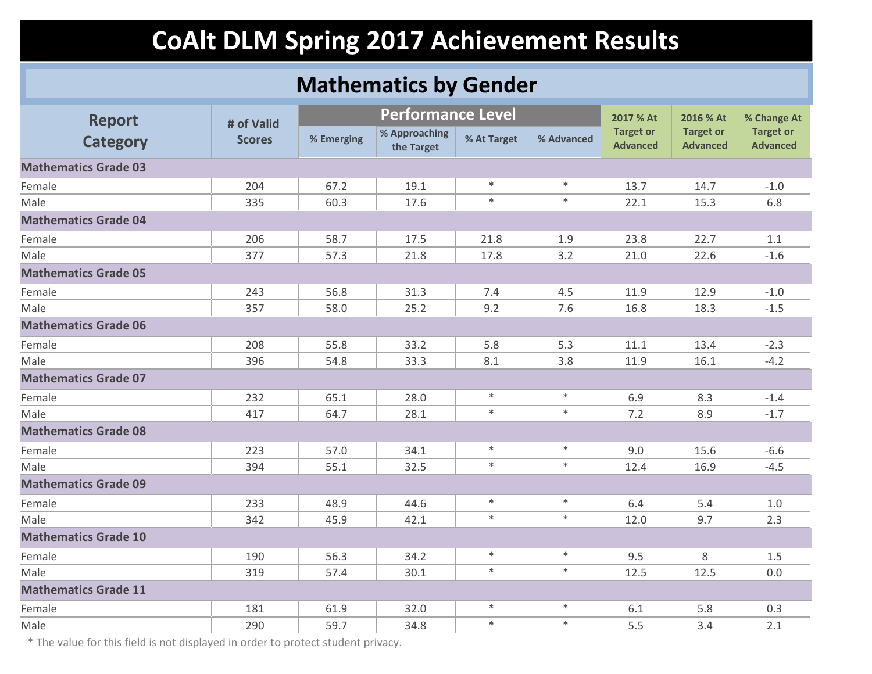### **Mathematics by Gender**

| <b>Report</b>               | # of Valid    |            | <b>Performance Level</b>    |             |            | 2017 % At                           | 2016 % At                           | % Change At                         |  |
|-----------------------------|---------------|------------|-----------------------------|-------------|------------|-------------------------------------|-------------------------------------|-------------------------------------|--|
| <b>Category</b>             | <b>Scores</b> | % Emerging | % Approaching<br>the Target | % At Target | % Advanced | <b>Target or</b><br><b>Advanced</b> | <b>Target or</b><br><b>Advanced</b> | <b>Target or</b><br><b>Advanced</b> |  |
| <b>Mathematics Grade 03</b> |               |            |                             |             |            |                                     |                                     |                                     |  |
| Female                      | 204           | 67.2       | 19.1                        | $\ast$      | $\ast$     | 13.7                                | 14.7                                | $-1.0$                              |  |
| Male                        | 335           | 60.3       | 17.6                        | $\ast$      | $\ast$     | 22.1                                | 15.3                                | 6.8                                 |  |
| <b>Mathematics Grade 04</b> |               |            |                             |             |            |                                     |                                     |                                     |  |
| Female                      | 206           | 58.7       | 17.5                        | 21.8        | 1.9        | 23.8                                | 22.7                                | 1.1                                 |  |
| Male                        | 377           | 57.3       | 21.8                        | 17.8        | 3.2        | 21.0                                | 22.6                                | $-1.6$                              |  |
| <b>Mathematics Grade 05</b> |               |            |                             |             |            |                                     |                                     |                                     |  |
| Female                      | 243           | 56.8       | 31.3                        | 7.4         | 4.5        | 11.9                                | 12.9                                | $-1.0$                              |  |
| Male                        | 357           | 58.0       | 25.2                        | 9.2         | 7.6        | 16.8                                | 18.3                                | $-1.5$                              |  |
| <b>Mathematics Grade 06</b> |               |            |                             |             |            |                                     |                                     |                                     |  |
| Female                      | 208           | 55.8       | 33.2                        | 5.8         | 5.3        | 11.1                                | 13.4                                | $-2.3$                              |  |
| Male                        | 396           | 54.8       | 33.3                        | 8.1         | 3.8        | 11.9                                | 16.1                                | $-4.2$                              |  |
| <b>Mathematics Grade 07</b> |               |            |                             |             |            |                                     |                                     |                                     |  |
| Female                      | 232           | 65.1       | 28.0                        | $\ast$      | $\ast$     | 6.9                                 | 8.3                                 | $-1.4$                              |  |
| Male                        | 417           | 64.7       | 28.1                        | $\ast$      | $\ast$     | 7.2                                 | 8.9                                 | $-1.7$                              |  |
| <b>Mathematics Grade 08</b> |               |            |                             |             |            |                                     |                                     |                                     |  |
| Female                      | 223           | 57.0       | 34.1                        | $\ast$      | $\ast$     | 9.0                                 | 15.6                                | $-6.6$                              |  |
| Male                        | 394           | 55.1       | 32.5                        | $\ast$      | $\ast$     | 12.4                                | 16.9                                | $-4.5$                              |  |
| <b>Mathematics Grade 09</b> |               |            |                             |             |            |                                     |                                     |                                     |  |
| Female                      | 233           | 48.9       | 44.6                        | $\ast$      | $\ast$     | 6.4                                 | 5.4                                 | 1.0                                 |  |
| Male                        | 342           | 45.9       | 42.1                        | $\ast$      | $\ast$     | 12.0                                | 9.7                                 | 2.3                                 |  |
| <b>Mathematics Grade 10</b> |               |            |                             |             |            |                                     |                                     |                                     |  |
| Female                      | 190           | 56.3       | 34.2                        | $\ast$      | $\ast$     | 9.5                                 | 8                                   | 1.5                                 |  |
| Male                        | 319           | 57.4       | 30.1                        | $\ast$      | $\ast$     | 12.5                                | 12.5                                | 0.0                                 |  |
| <b>Mathematics Grade 11</b> |               |            |                             |             |            |                                     |                                     |                                     |  |
| Female                      | 181           | 61.9       | 32.0                        | $\ast$      | $\ast$     | $6.1\,$                             | 5.8                                 | 0.3                                 |  |
| Male                        | 290           | 59.7       | 34.8                        | $\ast$      | $\ast$     | 5.5                                 | 3.4                                 | 2.1                                 |  |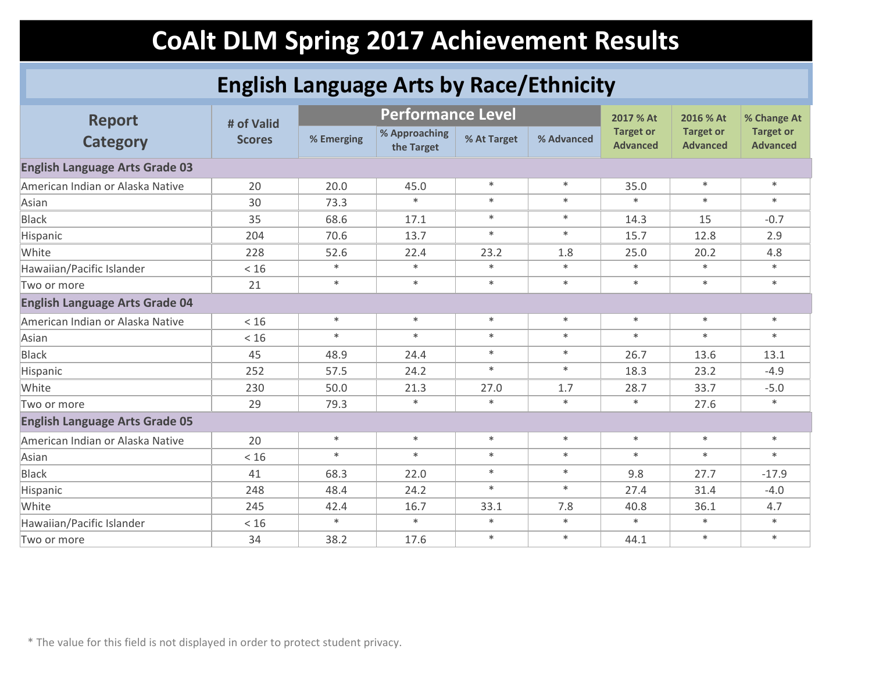### **English Language Arts by Race/Ethnicity**

| <b>Report</b>                         | # of Valid    |            | <b>Performance Level</b>    |             |            | 2017 % At                           | 2016 % At                           | % Change At                         |
|---------------------------------------|---------------|------------|-----------------------------|-------------|------------|-------------------------------------|-------------------------------------|-------------------------------------|
| <b>Category</b>                       | <b>Scores</b> | % Emerging | % Approaching<br>the Target | % At Target | % Advanced | <b>Target or</b><br><b>Advanced</b> | <b>Target or</b><br><b>Advanced</b> | <b>Target or</b><br><b>Advanced</b> |
| <b>English Language Arts Grade 03</b> |               |            |                             |             |            |                                     |                                     |                                     |
| American Indian or Alaska Native      | 20            | 20.0       | 45.0                        | $\ast$      | $\ast$     | 35.0                                | $\ast$                              | $*$                                 |
| Asian                                 | 30            | 73.3       | $\ast$                      | $*$         | $\ast$     | $\ast$                              | $\ast$                              | $\ast$                              |
| <b>Black</b>                          | 35            | 68.6       | 17.1                        | $\ast$      | $\ast$     | 14.3                                | 15                                  | $-0.7$                              |
| Hispanic                              | 204           | 70.6       | 13.7                        | $\ast$      | $\ast$     | 15.7                                | 12.8                                | 2.9                                 |
| White                                 | 228           | 52.6       | 22.4                        | 23.2        | 1.8        | 25.0                                | 20.2                                | 4.8                                 |
| Hawaiian/Pacific Islander             | < 16          | $\ast$     | $\ast$                      | $\ast$      | $\ast$     | $\ast$                              | $\ast$                              | $\ast$                              |
| Two or more                           | 21            | $\ast$     | $\ast$                      | $\ast$      | $\ast$     | $\ast$                              | $\ast$                              | $\ast$                              |
| <b>English Language Arts Grade 04</b> |               |            |                             |             |            |                                     |                                     |                                     |
| American Indian or Alaska Native      | < 16          | $\ast$     | $\ast$                      | $\ast$      | $\ast$     | $\ast$                              | $\ast$                              | $\ast$                              |
| Asian                                 | < 16          | $\ast$     | $\ast$                      | $\ast$      | $\ast$     | $\ast$                              | $\ast$                              | $\ast$                              |
| <b>Black</b>                          | 45            | 48.9       | 24.4                        | $\ast$      | $\ast$     | 26.7                                | 13.6                                | 13.1                                |
| Hispanic                              | 252           | 57.5       | 24.2                        | $\ast$      | $\ast$     | 18.3                                | 23.2                                | $-4.9$                              |
| White                                 | 230           | 50.0       | 21.3                        | 27.0        | 1.7        | 28.7                                | 33.7                                | $-5.0$                              |
| Two or more                           | 29            | 79.3       | $\ast$                      | $\ast$      | $\ast$     | $\ast$                              | 27.6                                | $\ast$                              |
| <b>English Language Arts Grade 05</b> |               |            |                             |             |            |                                     |                                     |                                     |
| American Indian or Alaska Native      | 20            | $\ast$     | $\ast$                      | $\ast$      | $\ast$     | $\ast$                              | $\ast$                              | $\ast$                              |
| Asian                                 | < 16          | $*$        | $\ast$                      | $\ast$      | $\ast$     | $\ast$                              | $\ast$                              | $\ast$                              |
| <b>Black</b>                          | 41            | 68.3       | 22.0                        | $\ast$      | $\ast$     | 9.8                                 | 27.7                                | $-17.9$                             |
| Hispanic                              | 248           | 48.4       | 24.2                        | $\ast$      | $\ast$     | 27.4                                | 31.4                                | $-4.0$                              |
| White                                 | 245           | 42.4       | 16.7                        | 33.1        | 7.8        | 40.8                                | 36.1                                | 4.7                                 |
| Hawaiian/Pacific Islander             | $<16$         | $\ast$     | $\ast$                      | $\ast$      | $\ast$     | $\ast$                              | $\ast$                              | $\ast$                              |
| Two or more                           | 34            | 38.2       | 17.6                        | $\ast$      | $\ast$     | 44.1                                | $\ast$                              | $\ast$                              |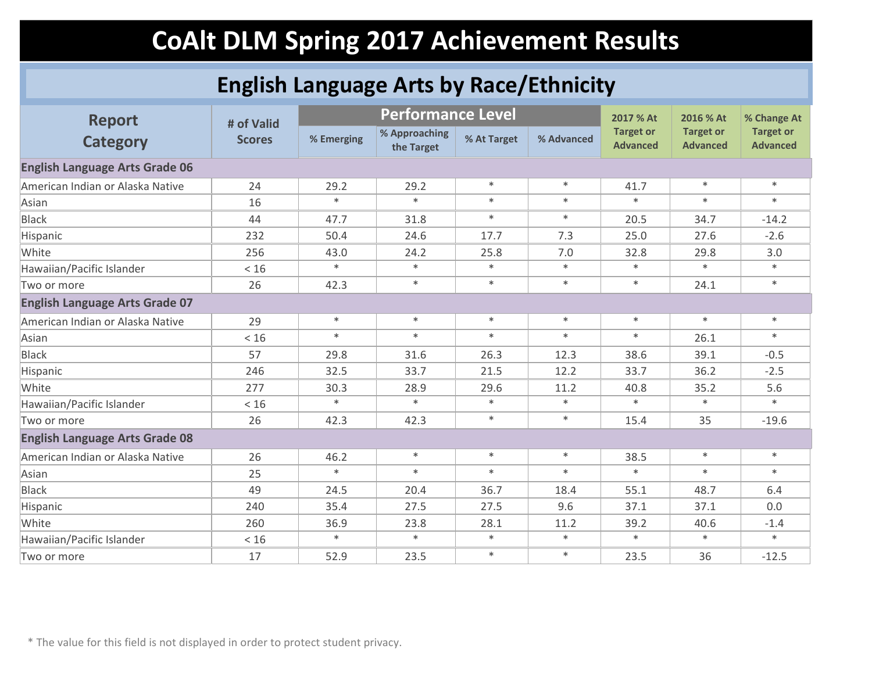### **English Language Arts by Race/Ethnicity**

| <b>Report</b>                         | # of Valid    |            | <b>Performance Level</b>    |             |            | 2017 % At                           | 2016 % At                           | % Change At                         |
|---------------------------------------|---------------|------------|-----------------------------|-------------|------------|-------------------------------------|-------------------------------------|-------------------------------------|
| <b>Category</b>                       | <b>Scores</b> | % Emerging | % Approaching<br>the Target | % At Target | % Advanced | <b>Target or</b><br><b>Advanced</b> | <b>Target or</b><br><b>Advanced</b> | <b>Target or</b><br><b>Advanced</b> |
| <b>English Language Arts Grade 06</b> |               |            |                             |             |            |                                     |                                     |                                     |
| American Indian or Alaska Native      | 24            | 29.2       | 29.2                        | $\ast$      | $\ast$     | 41.7                                | $\ast$                              | $\ast$                              |
| Asian                                 | 16            | $*$        | $\ast$                      | $\ast$      | $\ast$     | $\ast$                              | $\ast$                              | $\ast$                              |
| <b>Black</b>                          | 44            | 47.7       | 31.8                        | $\ast$      | $\ast$     | 20.5                                | 34.7                                | $-14.2$                             |
| Hispanic                              | 232           | 50.4       | 24.6                        | 17.7        | 7.3        | 25.0                                | 27.6                                | $-2.6$                              |
| White                                 | 256           | 43.0       | 24.2                        | 25.8        | 7.0        | 32.8                                | 29.8                                | 3.0                                 |
| Hawaiian/Pacific Islander             | < 16          | $\ast$     | $\ast$                      | $\ast$      | $\ast$     | $\ast$                              | $\ast$                              | $\ast$                              |
| Two or more                           | 26            | 42.3       | $\ast$                      | $\ast$      | $\ast$     | $\ast$                              | 24.1                                | $\ast$                              |
| <b>English Language Arts Grade 07</b> |               |            |                             |             |            |                                     |                                     |                                     |
| American Indian or Alaska Native      | 29            | $\ast$     | $\ast$                      | $\ast$      | $\ast$     | $\ast$                              | $\ast$                              | $\ast$                              |
| Asian                                 | < 16          | $*$        | $\ast$                      | $\ast$      | $\ast$     | $\ast$                              | 26.1                                | $\ast$                              |
| <b>Black</b>                          | 57            | 29.8       | 31.6                        | 26.3        | 12.3       | 38.6                                | 39.1                                | $-0.5$                              |
| Hispanic                              | 246           | 32.5       | 33.7                        | 21.5        | 12.2       | 33.7                                | 36.2                                | $-2.5$                              |
| White                                 | 277           | 30.3       | 28.9                        | 29.6        | 11.2       | 40.8                                | 35.2                                | 5.6                                 |
| Hawaiian/Pacific Islander             | $<16$         | $\ast$     | $\ast$                      | $\ast$      | $\ast$     | $\ast$                              | $\ast$                              | $\ast$                              |
| Two or more                           | 26            | 42.3       | 42.3                        | $\ast$      | $\ast$     | 15.4                                | 35                                  | $-19.6$                             |
| <b>English Language Arts Grade 08</b> |               |            |                             |             |            |                                     |                                     |                                     |
| American Indian or Alaska Native      | 26            | 46.2       | $\ast$                      | $\ast$      | $\ast$     | 38.5                                | $\ast$                              | $\ast$                              |
| Asian                                 | 25            | $\ast$     | $\ast$                      | $\ast$      | $\ast$     | $\ast$                              | $\ast$                              | $\ast$                              |
| <b>Black</b>                          | 49            | 24.5       | 20.4                        | 36.7        | 18.4       | 55.1                                | 48.7                                | 6.4                                 |
| Hispanic                              | 240           | 35.4       | 27.5                        | 27.5        | 9.6        | 37.1                                | 37.1                                | 0.0                                 |
| White                                 | 260           | 36.9       | 23.8                        | 28.1        | 11.2       | 39.2                                | 40.6                                | $-1.4$                              |
| Hawaiian/Pacific Islander             | < 16          | $\ast$     | $\ast$                      | $\ast$      | $\ast$     | $\ast$                              | $\ast$                              | $\ast$                              |
| Two or more                           | 17            | 52.9       | 23.5                        | $\ast$      | $\ast$     | 23.5                                | 36                                  | $-12.5$                             |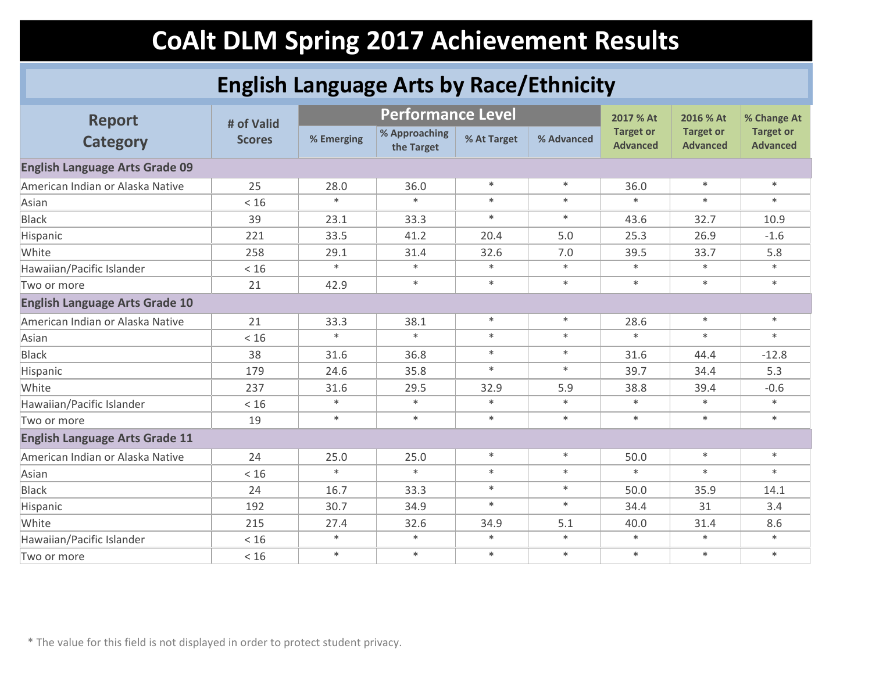### **English Language Arts by Race/Ethnicity**

| <b>Report</b>                         | # of Valid    |            | <b>Performance Level</b>    |             |            | 2017 % At                           | 2016 % At                           | % Change At                         |
|---------------------------------------|---------------|------------|-----------------------------|-------------|------------|-------------------------------------|-------------------------------------|-------------------------------------|
| <b>Category</b>                       | <b>Scores</b> | % Emerging | % Approaching<br>the Target | % At Target | % Advanced | <b>Target or</b><br><b>Advanced</b> | <b>Target or</b><br><b>Advanced</b> | <b>Target or</b><br><b>Advanced</b> |
| <b>English Language Arts Grade 09</b> |               |            |                             |             |            |                                     |                                     |                                     |
| American Indian or Alaska Native      | 25            | 28.0       | 36.0                        | $\ast$      | $\ast$     | 36.0                                | $\ast$                              | $\ast$                              |
| Asian                                 | < 16          | $\ast$     | $\ast$                      | $\ast$      | $\ast$     | $\ast$                              | $\ast$                              | $\ast$                              |
| <b>Black</b>                          | 39            | 23.1       | 33.3                        | $\ast$      | $\ast$     | 43.6                                | 32.7                                | 10.9                                |
| Hispanic                              | 221           | 33.5       | 41.2                        | 20.4        | 5.0        | 25.3                                | 26.9                                | $-1.6$                              |
| White                                 | 258           | 29.1       | 31.4                        | 32.6        | 7.0        | 39.5                                | 33.7                                | 5.8                                 |
| Hawaiian/Pacific Islander             | < 16          | $\ast$     | $\ast$                      | $\ast$      | $\ast$     | $\ast$                              | $\ast$                              | $\ast$                              |
| Two or more                           | 21            | 42.9       | $\ast$                      | $\ast$      | $\ast$     | $\ast$                              | $\ast$                              | $\ast$                              |
| <b>English Language Arts Grade 10</b> |               |            |                             |             |            |                                     |                                     |                                     |
| American Indian or Alaska Native      | 21            | 33.3       | 38.1                        | $\ast$      | $\ast$     | 28.6                                | $\ast$                              | $\ast$                              |
| Asian                                 | < 16          | $\ast$     | $\ast$                      | $\ast$      | $\ast$     | $\ast$                              | $\ast$                              | $\ast$                              |
| <b>Black</b>                          | 38            | 31.6       | 36.8                        | $\ast$      | $\ast$     | 31.6                                | 44.4                                | $-12.8$                             |
| Hispanic                              | 179           | 24.6       | 35.8                        | $\ast$      | $\ast$     | 39.7                                | 34.4                                | 5.3                                 |
| White                                 | 237           | 31.6       | 29.5                        | 32.9        | 5.9        | 38.8                                | 39.4                                | $-0.6$                              |
| Hawaiian/Pacific Islander             | < 16          | $\ast$     | $\ast$                      | $\ast$      | $\ast$     | $\ast$                              | $\ast$                              | $\ast$                              |
| Two or more                           | 19            | $\ast$     | $\ast$                      | $\ast$      | $\ast$     | $\ast$                              | $\ast$                              | $\ast$                              |
| <b>English Language Arts Grade 11</b> |               |            |                             |             |            |                                     |                                     |                                     |
| American Indian or Alaska Native      | 24            | 25.0       | 25.0                        | $\ast$      | $\ast$     | 50.0                                | $\ast$                              | $\ast$                              |
| Asian                                 | < 16          | $\ast$     | $\ast$                      | $\ast$      | $\ast$     | $\ast$                              | $\ast$                              | $\ast$                              |
| <b>Black</b>                          | 24            | 16.7       | 33.3                        | $\ast$      | $\ast$     | 50.0                                | 35.9                                | 14.1                                |
| Hispanic                              | 192           | 30.7       | 34.9                        | $\ast$      | $\ast$     | 34.4                                | 31                                  | 3.4                                 |
| White                                 | 215           | 27.4       | 32.6                        | 34.9        | 5.1        | 40.0                                | 31.4                                | 8.6                                 |
| Hawaiian/Pacific Islander             | < 16          | $\ast$     | $\ast$                      | $\ast$      | $\ast$     | $\ast$                              | $\ast$                              | $\ast$                              |
| Two or more                           | < 16          | $\ast$     | $\ast$                      | $\ast$      | $\ast$     | $\ast$                              | $\ast$                              | $\ast$                              |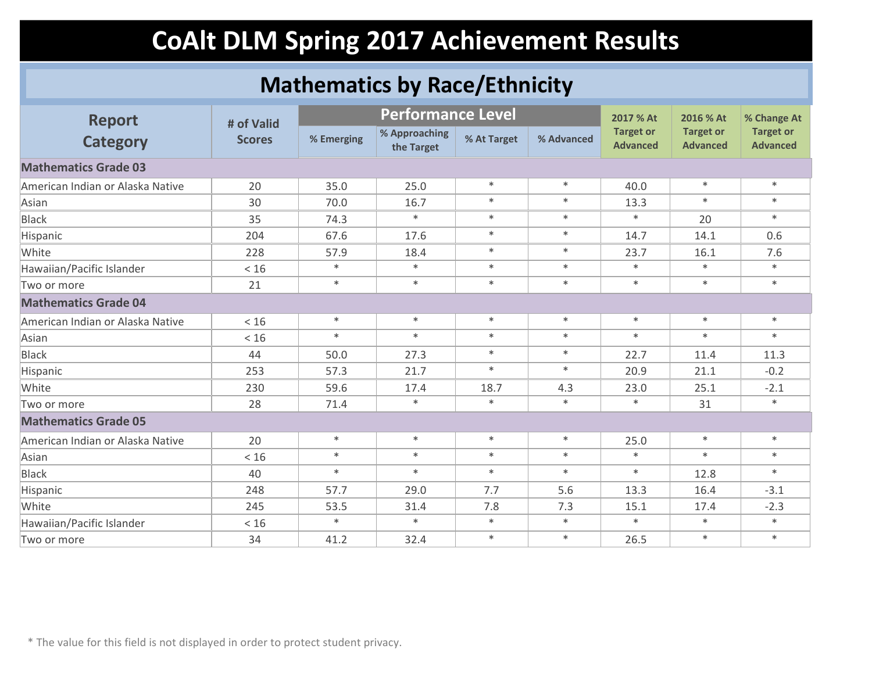### **Mathematics by Race/Ethnicity**

| <b>Report</b>                    | # of Valid    |            | <b>Performance Level</b>    |             |            | 2017 % At                           | 2016 % At                           | % Change At                         |
|----------------------------------|---------------|------------|-----------------------------|-------------|------------|-------------------------------------|-------------------------------------|-------------------------------------|
| <b>Category</b>                  | <b>Scores</b> | % Emerging | % Approaching<br>the Target | % At Target | % Advanced | <b>Target or</b><br><b>Advanced</b> | <b>Target or</b><br><b>Advanced</b> | <b>Target or</b><br><b>Advanced</b> |
| <b>Mathematics Grade 03</b>      |               |            |                             |             |            |                                     |                                     |                                     |
| American Indian or Alaska Native | 20            | 35.0       | 25.0                        | $\ast$      | $\ast$     | 40.0                                | $\ast$                              | $*$                                 |
| Asian                            | 30            | 70.0       | 16.7                        | $\ast$      | $\ast$     | 13.3                                | $\ast$                              | $*$                                 |
| <b>Black</b>                     | 35            | 74.3       | $\ast$                      | $\ast$      | $\ast$     | $\ast$                              | 20                                  | $*$                                 |
| Hispanic                         | 204           | 67.6       | 17.6                        | $\ast$      | $\ast$     | 14.7                                | 14.1                                | 0.6                                 |
| White                            | 228           | 57.9       | 18.4                        | $*$         | $\ast$     | 23.7                                | 16.1                                | 7.6                                 |
| Hawaiian/Pacific Islander        | $<16$         | $\ast$     | $\ast$                      | $\ast$      | $\ast$     | $\ast$                              | $\ast$                              | $\ast$                              |
| Two or more                      | 21            | $*$        | $\ast$                      | $\ast$      | $\ast$     | $\ast$                              | $\ast$                              | $\ast$                              |
| <b>Mathematics Grade 04</b>      |               |            |                             |             |            |                                     |                                     |                                     |
| American Indian or Alaska Native | < 16          | $\ast$     | $\ast$                      | $\ast$      | $\ast$     | $\ast$                              | $\ast$                              | $\ast$                              |
| Asian                            | < 16          | $\ast$     | $\ast$                      | $\ast$      | $\ast$     | $\ast$                              | $\ast$                              | $\ast$                              |
| <b>Black</b>                     | 44            | 50.0       | 27.3                        | $\ast$      | $\ast$     | 22.7                                | 11.4                                | 11.3                                |
| Hispanic                         | 253           | 57.3       | 21.7                        | $\ast$      | $*$        | 20.9                                | 21.1                                | $-0.2$                              |
| White                            | 230           | 59.6       | 17.4                        | 18.7        | 4.3        | 23.0                                | 25.1                                | $-2.1$                              |
| Two or more                      | 28            | 71.4       | $\ast$                      | $\ast$      | $\ast$     | $\ast$                              | 31                                  | $\ast$                              |
| <b>Mathematics Grade 05</b>      |               |            |                             |             |            |                                     |                                     |                                     |
| American Indian or Alaska Native | 20            | $\ast$     | $\ast$                      | $\ast$      | $\ast$     | 25.0                                | $\ast$                              | $*$                                 |
| Asian                            | < 16          | $*$        | $\ast$                      | $\ast$      | $\ast$     | $\ast$                              | $\ast$                              | $\ast$                              |
| <b>Black</b>                     | 40            | $\ast$     | $\ast$                      | $\ast$      | $\ast$     | $\ast$                              | 12.8                                | $\ast$                              |
| Hispanic                         | 248           | 57.7       | 29.0                        | 7.7         | 5.6        | 13.3                                | 16.4                                | $-3.1$                              |
| White                            | 245           | 53.5       | 31.4                        | 7.8         | 7.3        | 15.1                                | 17.4                                | $-2.3$                              |
| Hawaiian/Pacific Islander        | $<16$         | $\ast$     | $\ast$                      | $\ast$      | $\ast$     | $\ast$                              | $\ast$                              | $\ast$                              |
| Two or more                      | 34            | 41.2       | 32.4                        | $\ast$      | $\ast$     | 26.5                                | $\ast$                              | $\ast$                              |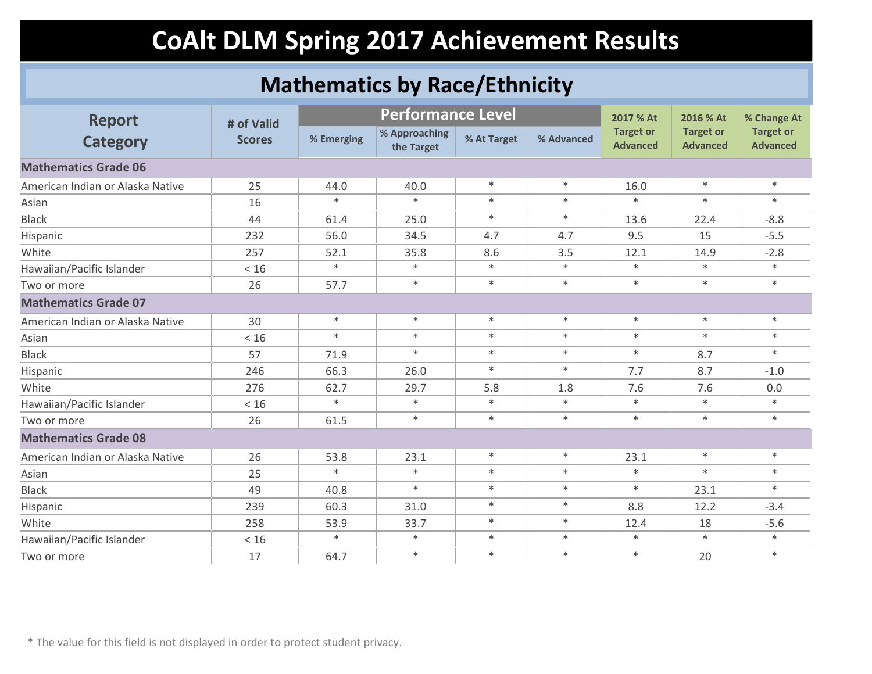### **Mathematics by Race/Ethnicity**

| <b>Report</b>                    | # of Valid    |            | <b>Performance Level</b>    |             |            | 2017 % At                           | 2016 % At                           | % Change At                         |
|----------------------------------|---------------|------------|-----------------------------|-------------|------------|-------------------------------------|-------------------------------------|-------------------------------------|
| <b>Category</b>                  | <b>Scores</b> | % Emerging | % Approaching<br>the Target | % At Target | % Advanced | <b>Target or</b><br><b>Advanced</b> | <b>Target or</b><br><b>Advanced</b> | <b>Target or</b><br><b>Advanced</b> |
| <b>Mathematics Grade 06</b>      |               |            |                             |             |            |                                     |                                     |                                     |
| American Indian or Alaska Native | 25            | 44.0       | 40.0                        | $\ast$      | $\ast$     | 16.0                                | $\ast$                              | $*$                                 |
| Asian                            | 16            | $\ast$     | $\ast$                      | $\ast$      | $\ast$     | $\ast$                              | $\ast$                              | $\ast$                              |
| <b>Black</b>                     | 44            | 61.4       | 25.0                        | $\ast$      | $\ast$     | 13.6                                | 22.4                                | $-8.8$                              |
| Hispanic                         | 232           | 56.0       | 34.5                        | 4.7         | 4.7        | 9.5                                 | 15                                  | $-5.5$                              |
| White                            | 257           | 52.1       | 35.8                        | 8.6         | 3.5        | 12.1                                | 14.9                                | $-2.8$                              |
| Hawaiian/Pacific Islander        | $<16$         | $\ast$     | $\ast$                      | $\ast$      | $\ast$     | $\ast$                              | $\ast$                              | $\ast$                              |
| Two or more                      | 26            | 57.7       | $\ast$                      | $\ast$      | $\ast$     | $\ast$                              | $\ast$                              | $\ast$                              |
| <b>Mathematics Grade 07</b>      |               |            |                             |             |            |                                     |                                     |                                     |
| American Indian or Alaska Native | 30            | $\ast$     | $\ast$                      | $\ast$      | $\ast$     | $\ast$                              | $\ast$                              | $\ast$                              |
| Asian                            | < 16          | $*$        | $\ast$                      | $\ast$      | $\ast$     | $\ast$                              | $\ast$                              | $\ast$                              |
| <b>Black</b>                     | 57            | 71.9       | $\ast$                      | $\ast$      | $\ast$     | $\ast$                              | 8.7                                 | $\ast$                              |
| Hispanic                         | 246           | 66.3       | 26.0                        | $\ast$      | $\ast$     | 7.7                                 | 8.7                                 | $-1.0$                              |
| White                            | 276           | 62.7       | 29.7                        | 5.8         | 1.8        | 7.6                                 | 7.6                                 | 0.0                                 |
| Hawaiian/Pacific Islander        | $<16$         | $\ast$     | $\ast$                      | $\ast$      | $\ast$     | $\ast$                              | $\ast$                              | $\ast$                              |
| Two or more                      | 26            | 61.5       | $\ast$                      | $\ast$      | $\ast$     | $\ast$                              | $\ast$                              | $*$                                 |
| <b>Mathematics Grade 08</b>      |               |            |                             |             |            |                                     |                                     |                                     |
| American Indian or Alaska Native | 26            | 53.8       | 23.1                        | $\ast$      | $\ast$     | 23.1                                | $\ast$                              | $\ast$                              |
| Asian                            | 25            | $\ast$     | $\ast$                      | $\ast$      | $\ast$     | $\ast$                              | $\ast$                              | $*$                                 |
| <b>Black</b>                     | 49            | 40.8       | $\ast$                      | $\ast$      | $\ast$     | $\ast$                              | 23.1                                | $\ast$                              |
| Hispanic                         | 239           | 60.3       | 31.0                        | $\ast$      | $\ast$     | 8.8                                 | 12.2                                | $-3.4$                              |
| White                            | 258           | 53.9       | 33.7                        | $\ast$      | $\ast$     | 12.4                                | 18                                  | $-5.6$                              |
| Hawaiian/Pacific Islander        | $<16$         | $*$        | $\ast$                      | $\ast$      | $\ast$     | $\ast$                              | $\ast$                              | $\ast$                              |
| Two or more                      | 17            | 64.7       | $\ast$                      | $\ast$      | $\ast$     | $\ast$                              | 20                                  | $\ast$                              |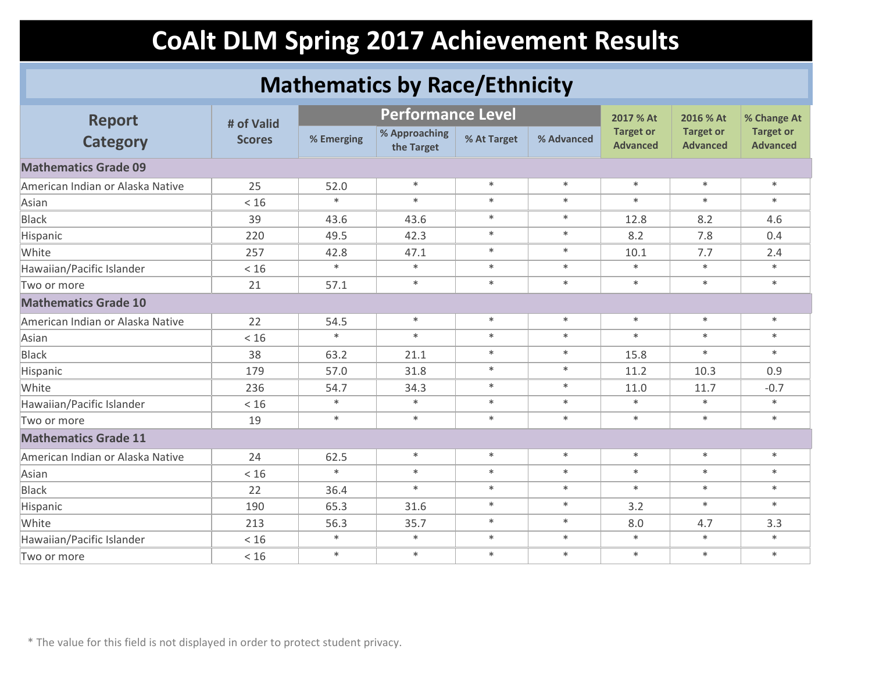### **Mathematics by Race/Ethnicity**

| <b>Report</b>                    | # of Valid    |            | <b>Performance Level</b>    |             |            | 2017 % At                           | 2016 % At                           | % Change At                         |
|----------------------------------|---------------|------------|-----------------------------|-------------|------------|-------------------------------------|-------------------------------------|-------------------------------------|
| <b>Category</b>                  | <b>Scores</b> | % Emerging | % Approaching<br>the Target | % At Target | % Advanced | <b>Target or</b><br><b>Advanced</b> | <b>Target or</b><br><b>Advanced</b> | <b>Target or</b><br><b>Advanced</b> |
| <b>Mathematics Grade 09</b>      |               |            |                             |             |            |                                     |                                     |                                     |
| American Indian or Alaska Native | 25            | 52.0       | $\ast$                      | $\ast$      | $\ast$     | $\ast$                              | $\ast$                              | $\ast$                              |
| Asian                            | < 16          | $\ast$     | $\ast$                      | $\ast$      | $\ast$     | $\ast$                              | $\ast$                              | $\ast$                              |
| <b>Black</b>                     | 39            | 43.6       | 43.6                        | $\ast$      | $\ast$     | 12.8                                | 8.2                                 | 4.6                                 |
| Hispanic                         | 220           | 49.5       | 42.3                        | $\ast$      | $\ast$     | 8.2                                 | 7.8                                 | 0.4                                 |
| White                            | 257           | 42.8       | 47.1                        | $\ast$      | $\ast$     | 10.1                                | 7.7                                 | 2.4                                 |
| Hawaiian/Pacific Islander        | < 16          | $\ast$     | $\ast$                      | $\ast$      | $\ast$     | $\ast$                              | $\ast$                              | $\ast$                              |
| Two or more                      | 21            | 57.1       | $\ast$                      | $\ast$      | $\ast$     | $\ast$                              | $\ast$                              | $\ast$                              |
| <b>Mathematics Grade 10</b>      |               |            |                             |             |            |                                     |                                     |                                     |
| American Indian or Alaska Native | 22            | 54.5       | $\ast$                      | $\ast$      | $\ast$     | $\ast$                              | $\ast$                              | $\ast$                              |
| Asian                            | < 16          | $\ast$     | $\ast$                      | $\ast$      | $\ast$     | $\ast$                              | $\ast$                              | $\ast$                              |
| <b>Black</b>                     | 38            | 63.2       | 21.1                        | $\ast$      | $\ast$     | 15.8                                | $\ast$                              | $*$                                 |
| Hispanic                         | 179           | 57.0       | 31.8                        | $\ast$      | $\ast$     | 11.2                                | 10.3                                | 0.9                                 |
| White                            | 236           | 54.7       | 34.3                        | $\ast$      | $\ast$     | 11.0                                | 11.7                                | $-0.7$                              |
| Hawaiian/Pacific Islander        | < 16          | $\ast$     | $\ast$                      | $\ast$      | $\ast$     | $\ast$                              | $\ast$                              | $*$                                 |
| Two or more                      | 19            | $\ast$     | $\ast$                      | $\ast$      | $\ast$     | $\ast$                              | $\ast$                              | $\ast$                              |
| <b>Mathematics Grade 11</b>      |               |            |                             |             |            |                                     |                                     |                                     |
| American Indian or Alaska Native | 24            | 62.5       | $\ast$                      | $\ast$      | $\ast$     | $\ast$                              | $\ast$                              | $*$                                 |
| Asian                            | < 16          | $\ast$     | $\ast$                      | $\ast$      | $\ast$     | $\ast$                              | $\ast$                              | $\ast$                              |
| <b>Black</b>                     | 22            | 36.4       | $\ast$                      | $\ast$      | $\ast$     | $\ast$                              | $\ast$                              | $*$                                 |
| Hispanic                         | 190           | 65.3       | 31.6                        | $\ast$      | $\ast$     | 3.2                                 | $\ast$                              | $\ast$                              |
| White                            | 213           | 56.3       | 35.7                        | $\ast$      | $\ast$     | 8.0                                 | 4.7                                 | 3.3                                 |
| Hawaiian/Pacific Islander        | < 16          | $\ast$     | $\ast$                      | $\ast$      | $\ast$     | $\ast$                              | $\ast$                              | $\ast$                              |
| Two or more                      | $<16$         | $\ast$     | $\ast$                      | $\ast$      | $\ast$     | $\ast$                              | $\ast$                              | $\ast$                              |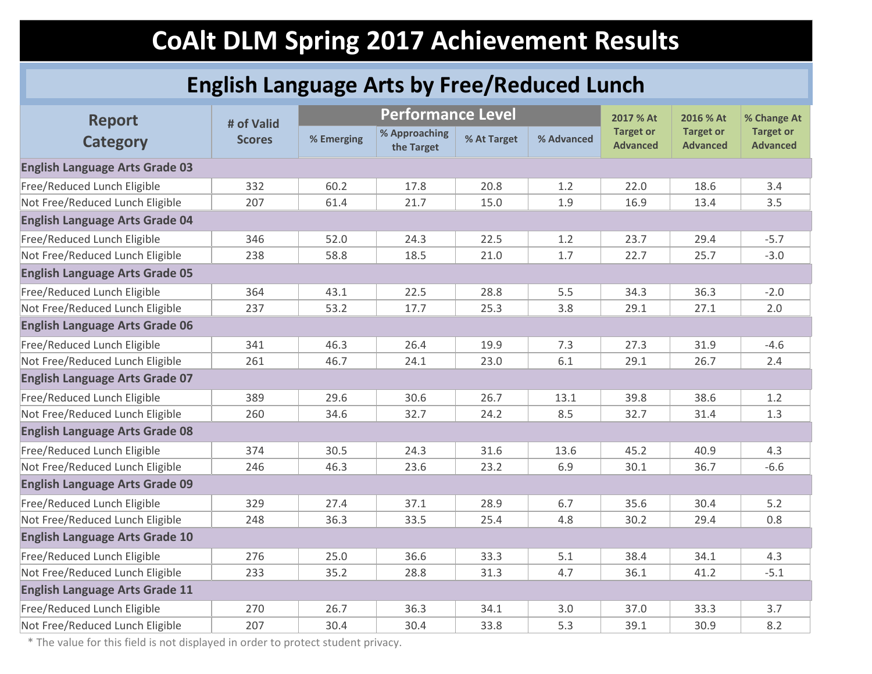### **English Language Arts by Free/Reduced Lunch**

| <b>Report</b>                         | # of Valid    |            | <b>Performance Level</b>    |             |            | 2017 % At                           | 2016 % At                           | % Change At                         |
|---------------------------------------|---------------|------------|-----------------------------|-------------|------------|-------------------------------------|-------------------------------------|-------------------------------------|
| <b>Category</b>                       | <b>Scores</b> | % Emerging | % Approaching<br>the Target | % At Target | % Advanced | <b>Target or</b><br><b>Advanced</b> | <b>Target or</b><br><b>Advanced</b> | <b>Target or</b><br><b>Advanced</b> |
| <b>English Language Arts Grade 03</b> |               |            |                             |             |            |                                     |                                     |                                     |
| Free/Reduced Lunch Eligible           | 332           | 60.2       | 17.8                        | 20.8        | 1.2        | 22.0                                | 18.6                                | 3.4                                 |
| Not Free/Reduced Lunch Eligible       | 207           | 61.4       | 21.7                        | 15.0        | 1.9        | 16.9                                | 13.4                                | 3.5                                 |
| <b>English Language Arts Grade 04</b> |               |            |                             |             |            |                                     |                                     |                                     |
| Free/Reduced Lunch Eligible           | 346           | 52.0       | 24.3                        | 22.5        | 1.2        | 23.7                                | 29.4                                | $-5.7$                              |
| Not Free/Reduced Lunch Eligible       | 238           | 58.8       | 18.5                        | 21.0        | 1.7        | 22.7                                | 25.7                                | $-3.0$                              |
| <b>English Language Arts Grade 05</b> |               |            |                             |             |            |                                     |                                     |                                     |
| Free/Reduced Lunch Eligible           | 364           | 43.1       | 22.5                        | 28.8        | 5.5        | 34.3                                | 36.3                                | $-2.0$                              |
| Not Free/Reduced Lunch Eligible       | 237           | 53.2       | 17.7                        | 25.3        | 3.8        | 29.1                                | 27.1                                | 2.0                                 |
| <b>English Language Arts Grade 06</b> |               |            |                             |             |            |                                     |                                     |                                     |
| Free/Reduced Lunch Eligible           | 341           | 46.3       | 26.4                        | 19.9        | 7.3        | 27.3                                | 31.9                                | $-4.6$                              |
| Not Free/Reduced Lunch Eligible       | 261           | 46.7       | 24.1                        | 23.0        | 6.1        | 29.1                                | 26.7                                | 2.4                                 |
| <b>English Language Arts Grade 07</b> |               |            |                             |             |            |                                     |                                     |                                     |
| Free/Reduced Lunch Eligible           | 389           | 29.6       | 30.6                        | 26.7        | 13.1       | 39.8                                | 38.6                                | 1.2                                 |
| Not Free/Reduced Lunch Eligible       | 260           | 34.6       | 32.7                        | 24.2        | 8.5        | 32.7                                | 31.4                                | 1.3                                 |
| <b>English Language Arts Grade 08</b> |               |            |                             |             |            |                                     |                                     |                                     |
| Free/Reduced Lunch Eligible           | 374           | 30.5       | 24.3                        | 31.6        | 13.6       | 45.2                                | 40.9                                | 4.3                                 |
| Not Free/Reduced Lunch Eligible       | 246           | 46.3       | 23.6                        | 23.2        | 6.9        | 30.1                                | 36.7                                | $-6.6$                              |
| <b>English Language Arts Grade 09</b> |               |            |                             |             |            |                                     |                                     |                                     |
| Free/Reduced Lunch Eligible           | 329           | 27.4       | 37.1                        | 28.9        | 6.7        | 35.6                                | 30.4                                | 5.2                                 |
| Not Free/Reduced Lunch Eligible       | 248           | 36.3       | 33.5                        | 25.4        | 4.8        | 30.2                                | 29.4                                | 0.8                                 |
| <b>English Language Arts Grade 10</b> |               |            |                             |             |            |                                     |                                     |                                     |
| Free/Reduced Lunch Eligible           | 276           | 25.0       | 36.6                        | 33.3        | 5.1        | 38.4                                | 34.1                                | 4.3                                 |
| Not Free/Reduced Lunch Eligible       | 233           | 35.2       | 28.8                        | 31.3        | 4.7        | 36.1                                | 41.2                                | $-5.1$                              |
| <b>English Language Arts Grade 11</b> |               |            |                             |             |            |                                     |                                     |                                     |
| Free/Reduced Lunch Eligible           | 270           | 26.7       | 36.3                        | 34.1        | 3.0        | 37.0                                | 33.3                                | 3.7                                 |
| Not Free/Reduced Lunch Eligible       | 207           | 30.4       | 30.4                        | 33.8        | 5.3        | 39.1                                | 30.9                                | 8.2                                 |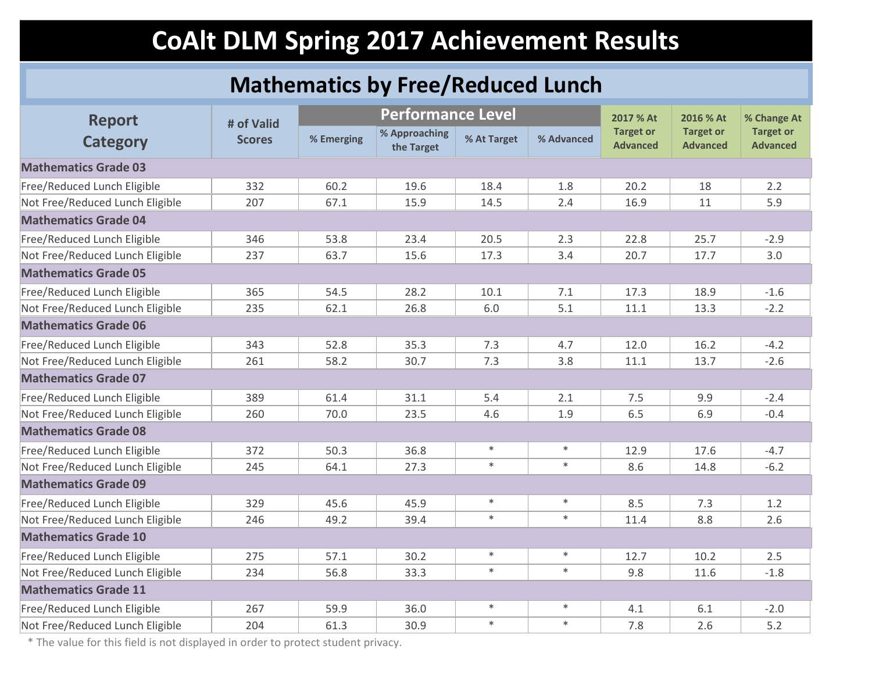### **Mathematics by Free/Reduced Lunch**

| <b>Report</b>                   | # of Valid    |            | <b>Performance Level</b>    |             |            | 2017 % At                           | 2016 % At                           | % Change At                         |
|---------------------------------|---------------|------------|-----------------------------|-------------|------------|-------------------------------------|-------------------------------------|-------------------------------------|
| <b>Category</b>                 | <b>Scores</b> | % Emerging | % Approaching<br>the Target | % At Target | % Advanced | <b>Target or</b><br><b>Advanced</b> | <b>Target or</b><br><b>Advanced</b> | <b>Target or</b><br><b>Advanced</b> |
| <b>Mathematics Grade 03</b>     |               |            |                             |             |            |                                     |                                     |                                     |
| Free/Reduced Lunch Eligible     | 332           | 60.2       | 19.6                        | 18.4        | 1.8        | 20.2                                | 18                                  | 2.2                                 |
| Not Free/Reduced Lunch Eligible | 207           | 67.1       | 15.9                        | 14.5        | 2.4        | 16.9                                | 11                                  | 5.9                                 |
| <b>Mathematics Grade 04</b>     |               |            |                             |             |            |                                     |                                     |                                     |
| Free/Reduced Lunch Eligible     | 346           | 53.8       | 23.4                        | 20.5        | 2.3        | 22.8                                | 25.7                                | $-2.9$                              |
| Not Free/Reduced Lunch Eligible | 237           | 63.7       | 15.6                        | 17.3        | 3.4        | 20.7                                | 17.7                                | 3.0                                 |
| <b>Mathematics Grade 05</b>     |               |            |                             |             |            |                                     |                                     |                                     |
| Free/Reduced Lunch Eligible     | 365           | 54.5       | 28.2                        | 10.1        | 7.1        | 17.3                                | 18.9                                | $-1.6$                              |
| Not Free/Reduced Lunch Eligible | 235           | 62.1       | 26.8                        | 6.0         | 5.1        | 11.1                                | 13.3                                | $-2.2$                              |
| <b>Mathematics Grade 06</b>     |               |            |                             |             |            |                                     |                                     |                                     |
| Free/Reduced Lunch Eligible     | 343           | 52.8       | 35.3                        | 7.3         | 4.7        | 12.0                                | 16.2                                | $-4.2$                              |
| Not Free/Reduced Lunch Eligible | 261           | 58.2       | 30.7                        | 7.3         | 3.8        | 11.1                                | 13.7                                | $-2.6$                              |
| <b>Mathematics Grade 07</b>     |               |            |                             |             |            |                                     |                                     |                                     |
| Free/Reduced Lunch Eligible     | 389           | 61.4       | 31.1                        | 5.4         | 2.1        | 7.5                                 | 9.9                                 | $-2.4$                              |
| Not Free/Reduced Lunch Eligible | 260           | 70.0       | 23.5                        | 4.6         | 1.9        | 6.5                                 | 6.9                                 | $-0.4$                              |
| <b>Mathematics Grade 08</b>     |               |            |                             |             |            |                                     |                                     |                                     |
| Free/Reduced Lunch Eligible     | 372           | 50.3       | 36.8                        | $\ast$      | $\ast$     | 12.9                                | 17.6                                | $-4.7$                              |
| Not Free/Reduced Lunch Eligible | 245           | 64.1       | 27.3                        | $\ast$      | $\ast$     | 8.6                                 | 14.8                                | $-6.2$                              |
| <b>Mathematics Grade 09</b>     |               |            |                             |             |            |                                     |                                     |                                     |
| Free/Reduced Lunch Eligible     | 329           | 45.6       | 45.9                        | $\ast$      | $\ast$     | 8.5                                 | 7.3                                 | 1.2                                 |
| Not Free/Reduced Lunch Eligible | 246           | 49.2       | 39.4                        | $\ast$      | $\ast$     | 11.4                                | 8.8                                 | 2.6                                 |
| <b>Mathematics Grade 10</b>     |               |            |                             |             |            |                                     |                                     |                                     |
| Free/Reduced Lunch Eligible     | 275           | 57.1       | 30.2                        | $\ast$      | $\ast$     | 12.7                                | 10.2                                | 2.5                                 |
| Not Free/Reduced Lunch Eligible | 234           | 56.8       | 33.3                        | $\ast$      | $\ast$     | 9.8                                 | 11.6                                | $-1.8$                              |
| <b>Mathematics Grade 11</b>     |               |            |                             |             |            |                                     |                                     |                                     |
| Free/Reduced Lunch Eligible     | 267           | 59.9       | 36.0                        | $\ast$      | $\ast$     | 4.1                                 | 6.1                                 | $-2.0$                              |
| Not Free/Reduced Lunch Eligible | 204           | 61.3       | 30.9                        | $\ast$      | $\ast$     | 7.8                                 | 2.6                                 | 5.2                                 |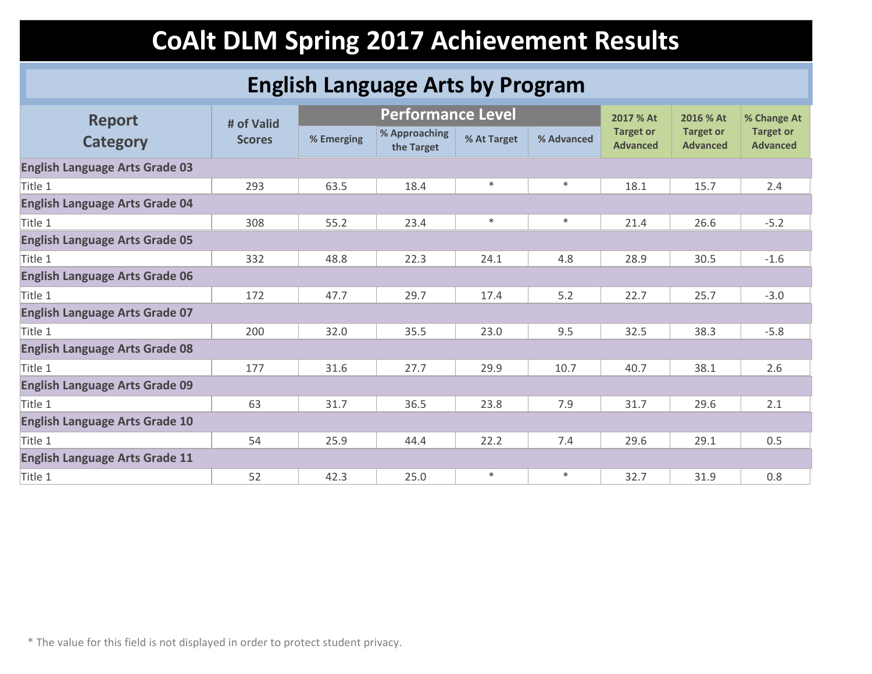### **English Language Arts by Program**

| <b>Report</b>                         | # of Valid    |            | <b>Performance Level</b>    |             |            | 2017 % At                           | 2016 % At                           | % Change At                         |
|---------------------------------------|---------------|------------|-----------------------------|-------------|------------|-------------------------------------|-------------------------------------|-------------------------------------|
| <b>Category</b>                       | <b>Scores</b> | % Emerging | % Approaching<br>the Target | % At Target | % Advanced | <b>Target or</b><br><b>Advanced</b> | <b>Target or</b><br><b>Advanced</b> | <b>Target or</b><br><b>Advanced</b> |
| <b>English Language Arts Grade 03</b> |               |            |                             |             |            |                                     |                                     |                                     |
| Title 1                               | 293           | 63.5       | 18.4                        | $\ast$      | $\ast$     | 18.1                                | 15.7                                | 2.4                                 |
| <b>English Language Arts Grade 04</b> |               |            |                             |             |            |                                     |                                     |                                     |
| Title 1                               | 308           | 55.2       | 23.4                        | $\ast$      | $\ast$     | 21.4                                | 26.6                                | $-5.2$                              |
| <b>English Language Arts Grade 05</b> |               |            |                             |             |            |                                     |                                     |                                     |
| Title 1                               | 332           | 48.8       | 22.3                        | 24.1        | 4.8        | 28.9                                | 30.5                                | $-1.6$                              |
| <b>English Language Arts Grade 06</b> |               |            |                             |             |            |                                     |                                     |                                     |
| Title 1                               | 172           | 47.7       | 29.7                        | 17.4        | 5.2        | 22.7                                | 25.7                                | $-3.0$                              |
| <b>English Language Arts Grade 07</b> |               |            |                             |             |            |                                     |                                     |                                     |
| Title 1                               | 200           | 32.0       | 35.5                        | 23.0        | 9.5        | 32.5                                | 38.3                                | $-5.8$                              |
| <b>English Language Arts Grade 08</b> |               |            |                             |             |            |                                     |                                     |                                     |
| Title 1                               | 177           | 31.6       | 27.7                        | 29.9        | 10.7       | 40.7                                | 38.1                                | 2.6                                 |
| <b>English Language Arts Grade 09</b> |               |            |                             |             |            |                                     |                                     |                                     |
| Title 1                               | 63            | 31.7       | 36.5                        | 23.8        | 7.9        | 31.7                                | 29.6                                | 2.1                                 |
| <b>English Language Arts Grade 10</b> |               |            |                             |             |            |                                     |                                     |                                     |
| Title 1                               | 54            | 25.9       | 44.4                        | 22.2        | 7.4        | 29.6                                | 29.1                                | 0.5                                 |
| <b>English Language Arts Grade 11</b> |               |            |                             |             |            |                                     |                                     |                                     |
| Title 1                               | 52            | 42.3       | 25.0                        | $\ast$      | $\ast$     | 32.7                                | 31.9                                | 0.8                                 |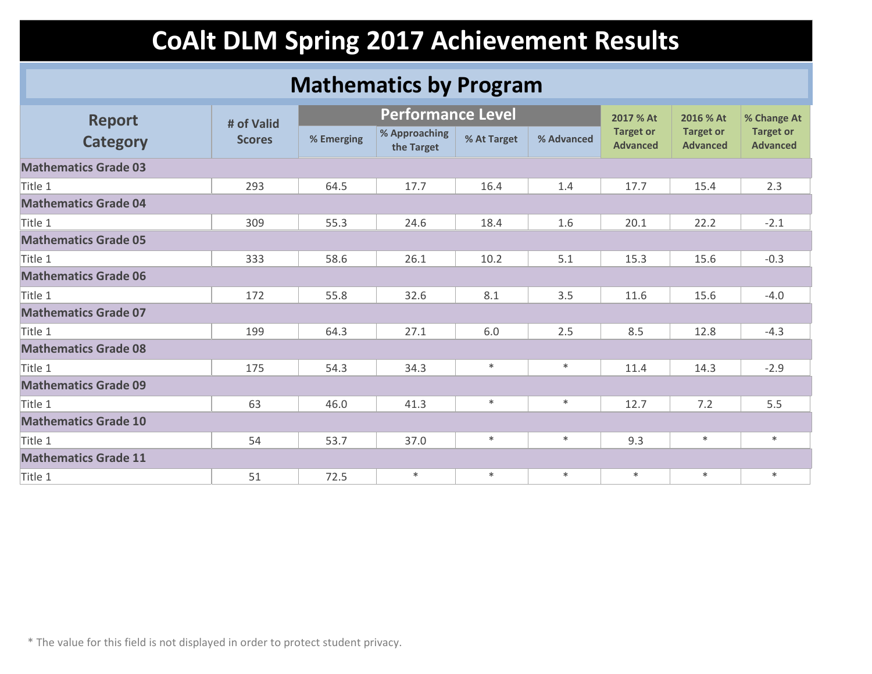#### **Mathematics by Program**

| <b>Report</b>               | # of Valid    | <b>Performance Level</b> |                             |             |            | 2017 % At                           | 2016 % At                           | % Change At                         |
|-----------------------------|---------------|--------------------------|-----------------------------|-------------|------------|-------------------------------------|-------------------------------------|-------------------------------------|
| <b>Category</b>             | <b>Scores</b> | % Emerging               | % Approaching<br>the Target | % At Target | % Advanced | <b>Target or</b><br><b>Advanced</b> | <b>Target or</b><br><b>Advanced</b> | <b>Target or</b><br><b>Advanced</b> |
| <b>Mathematics Grade 03</b> |               |                          |                             |             |            |                                     |                                     |                                     |
| Title 1                     | 293           | 64.5                     | 17.7                        | 16.4        | 1.4        | 17.7                                | 15.4                                | 2.3                                 |
| <b>Mathematics Grade 04</b> |               |                          |                             |             |            |                                     |                                     |                                     |
| Title 1                     | 309           | 55.3                     | 24.6                        | 18.4        | 1.6        | 20.1                                | 22.2                                | $-2.1$                              |
| <b>Mathematics Grade 05</b> |               |                          |                             |             |            |                                     |                                     |                                     |
| Title 1                     | 333           | 58.6                     | 26.1                        | 10.2        | 5.1        | 15.3                                | 15.6                                | $-0.3$                              |
| <b>Mathematics Grade 06</b> |               |                          |                             |             |            |                                     |                                     |                                     |
| Title 1                     | 172           | 55.8                     | 32.6                        | 8.1         | 3.5        | 11.6                                | 15.6                                | $-4.0$                              |
| <b>Mathematics Grade 07</b> |               |                          |                             |             |            |                                     |                                     |                                     |
| Title 1                     | 199           | 64.3                     | 27.1                        | 6.0         | 2.5        | 8.5                                 | 12.8                                | $-4.3$                              |
| <b>Mathematics Grade 08</b> |               |                          |                             |             |            |                                     |                                     |                                     |
| Title 1                     | 175           | 54.3                     | 34.3                        | $\ast$      | $\ast$     | 11.4                                | 14.3                                | $-2.9$                              |
| <b>Mathematics Grade 09</b> |               |                          |                             |             |            |                                     |                                     |                                     |
| Title 1                     | 63            | 46.0                     | 41.3                        | $\ast$      | $\ast$     | 12.7                                | 7.2                                 | 5.5                                 |
| <b>Mathematics Grade 10</b> |               |                          |                             |             |            |                                     |                                     |                                     |
| Title 1                     | 54            | 53.7                     | 37.0                        | $\ast$      | $\ast$     | 9.3                                 | $\ast$                              | $*$                                 |
| <b>Mathematics Grade 11</b> |               |                          |                             |             |            |                                     |                                     |                                     |
| Title 1                     | 51            | 72.5                     | $\ast$                      | $\ast$      | $\ast$     | $\ast$                              | $\ast$                              | $*$                                 |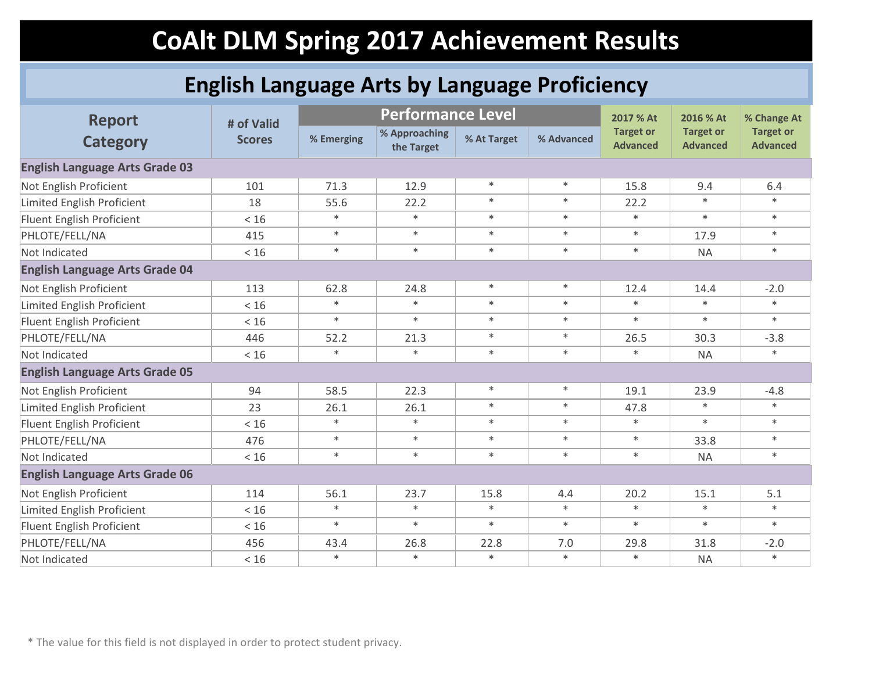### **English Language Arts by Language Proficiency**

| <b>Report</b>                         | # of Valid    |            | <b>Performance Level</b>    |             |            | 2017 % At                           | 2016 % At<br><b>Target or</b><br><b>Advanced</b> | % Change At<br><b>Target or</b><br><b>Advanced</b> |
|---------------------------------------|---------------|------------|-----------------------------|-------------|------------|-------------------------------------|--------------------------------------------------|----------------------------------------------------|
| <b>Category</b>                       | <b>Scores</b> | % Emerging | % Approaching<br>the Target | % At Target | % Advanced | <b>Target or</b><br><b>Advanced</b> |                                                  |                                                    |
| <b>English Language Arts Grade 03</b> |               |            |                             |             |            |                                     |                                                  |                                                    |
| Not English Proficient                | 101           | 71.3       | 12.9                        | $\ast$      | $\ast$     | 15.8                                | 9.4                                              | 6.4                                                |
| Limited English Proficient            | 18            | 55.6       | 22.2                        | $\ast$      | $\ast$     | 22.2                                | $\ast$                                           | $*$                                                |
| Fluent English Proficient             | < 16          | $\ast$     | $\ast$                      | $\ast$      | $\ast$     | $\ast$                              | $\ast$                                           | $\ast$                                             |
| PHLOTE/FELL/NA                        | 415           | $\ast$     | $\ast$                      | $\ast$      | $\ast$     | $\ast$                              | 17.9                                             | $\ast$                                             |
| Not Indicated                         | < 16          | $\ast$     | $\ast$                      | $\ast$      | $\ast$     | $\ast$                              | <b>NA</b>                                        | $\ast$                                             |
| <b>English Language Arts Grade 04</b> |               |            |                             |             |            |                                     |                                                  |                                                    |
| Not English Proficient                | 113           | 62.8       | 24.8                        | $\ast$      | $\ast$     | 12.4                                | 14.4                                             | $-2.0$                                             |
| Limited English Proficient            | < 16          | $\ast$     | $\ast$                      | $\ast$      | $\ast$     | $\ast$                              | $\ast$                                           | $\ast$                                             |
| Fluent English Proficient             | < 16          | $\ast$     | $\ast$                      | $\ast$      | $\ast$     | $\ast$                              | $\ast$                                           | $\ast$                                             |
| PHLOTE/FELL/NA                        | 446           | 52.2       | 21.3                        | $\ast$      | $\ast$     | 26.5                                | 30.3                                             | $-3.8$                                             |
| Not Indicated                         | < 16          | $\ast$     | $\ast$                      | $\ast$      | $\ast$     | $\ast$                              | <b>NA</b>                                        | $\ast$                                             |
| <b>English Language Arts Grade 05</b> |               |            |                             |             |            |                                     |                                                  |                                                    |
| Not English Proficient                | 94            | 58.5       | 22.3                        | $\ast$      | $\ast$     | 19.1                                | 23.9                                             | $-4.8$                                             |
| Limited English Proficient            | 23            | 26.1       | 26.1                        | $\ast$      | $\ast$     | 47.8                                | $\ast$                                           | $\ast$                                             |
| Fluent English Proficient             | < 16          | $\ast$     | $\ast$                      | $\ast$      | $\ast$     | $\ast$                              | $\ast$                                           | $\ast$                                             |
| PHLOTE/FELL/NA                        | 476           | $\ast$     | $\ast$                      | $\ast$      | $\ast$     | $\ast$                              | 33.8                                             | $\ast$                                             |
| Not Indicated                         | < 16          | $\ast$     | $\ast$                      | $\ast$      | $\ast$     | $\ast$                              | <b>NA</b>                                        | $*$                                                |
| <b>English Language Arts Grade 06</b> |               |            |                             |             |            |                                     |                                                  |                                                    |
| Not English Proficient                | 114           | 56.1       | 23.7                        | 15.8        | 4.4        | 20.2                                | 15.1                                             | 5.1                                                |
| Limited English Proficient            | < 16          | $\ast$     | $\ast$                      | $\ast$      | $\ast$     | $\ast$                              | $\ast$                                           | $\ast$                                             |
| Fluent English Proficient             | $<16$         | $\ast$     | $\ast$                      | $\ast$      | $\ast$     | $\ast$                              | $\ast$                                           | $\ast$                                             |
| PHLOTE/FELL/NA                        | 456           | 43.4       | 26.8                        | 22.8        | 7.0        | 29.8                                | 31.8                                             | $-2.0$                                             |
| Not Indicated                         | < 16          | $\ast$     | $\ast$                      | $\ast$      | $\ast$     | $\ast$                              | <b>NA</b>                                        | $\ast$                                             |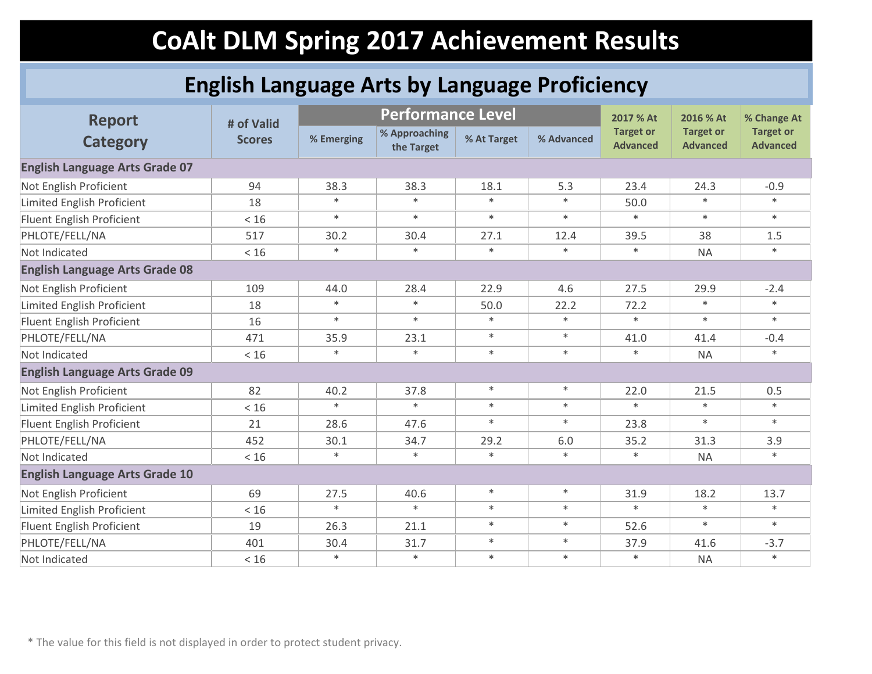### **English Language Arts by Language Proficiency**

| <b>Report</b>                         | # of Valid    | <b>Performance Level</b> |                             |             |            | 2017 % At                           | 2016 % At                           | % Change At                         |
|---------------------------------------|---------------|--------------------------|-----------------------------|-------------|------------|-------------------------------------|-------------------------------------|-------------------------------------|
| <b>Category</b>                       | <b>Scores</b> | % Emerging               | % Approaching<br>the Target | % At Target | % Advanced | <b>Target or</b><br><b>Advanced</b> | <b>Target or</b><br><b>Advanced</b> | <b>Target or</b><br><b>Advanced</b> |
| <b>English Language Arts Grade 07</b> |               |                          |                             |             |            |                                     |                                     |                                     |
| Not English Proficient                | 94            | 38.3                     | 38.3                        | 18.1        | 5.3        | 23.4                                | 24.3                                | $-0.9$                              |
| Limited English Proficient            | 18            | $\ast$                   | $\ast$                      | $\ast$      | $\ast$     | 50.0                                | $\ast$                              | $*$                                 |
| Fluent English Proficient             | < 16          | $\ast$                   | $\ast$                      | $\ast$      | $\ast$     | $\ast$                              | $\ast$                              | $\ast$                              |
| PHLOTE/FELL/NA                        | 517           | 30.2                     | 30.4                        | 27.1        | 12.4       | 39.5                                | 38                                  | 1.5                                 |
| Not Indicated                         | < 16          | $\ast$                   | $\ast$                      | $\ast$      | $\ast$     | $\ast$                              | <b>NA</b>                           | $\ast$                              |
| <b>English Language Arts Grade 08</b> |               |                          |                             |             |            |                                     |                                     |                                     |
| Not English Proficient                | 109           | 44.0                     | 28.4                        | 22.9        | 4.6        | 27.5                                | 29.9                                | $-2.4$                              |
| Limited English Proficient            | 18            | $\ast$                   | $\ast$                      | 50.0        | 22.2       | 72.2                                | $\ast$                              | $\ast$                              |
| Fluent English Proficient             | 16            | $\ast$                   | $\ast$                      | $\ast$      | $\ast$     | $\ast$                              | $\ast$                              | $\ast$                              |
| PHLOTE/FELL/NA                        | 471           | 35.9                     | 23.1                        | $\ast$      | $\ast$     | 41.0                                | 41.4                                | $-0.4$                              |
| Not Indicated                         | < 16          | $\ast$                   | $\ast$                      | $\ast$      | $\ast$     | $\ast$                              | <b>NA</b>                           | $\ast$                              |
| <b>English Language Arts Grade 09</b> |               |                          |                             |             |            |                                     |                                     |                                     |
| Not English Proficient                | 82            | 40.2                     | 37.8                        | $\ast$      | $\ast$     | 22.0                                | 21.5                                | 0.5                                 |
| Limited English Proficient            | < 16          | $\ast$                   | $\ast$                      | $\ast$      | $\ast$     | $\ast$                              | $\ast$                              | $\ast$                              |
| Fluent English Proficient             | 21            | 28.6                     | 47.6                        | $\ast$      | $\ast$     | 23.8                                | $\ast$                              | $*$                                 |
| PHLOTE/FELL/NA                        | 452           | 30.1                     | 34.7                        | 29.2        | 6.0        | 35.2                                | 31.3                                | 3.9                                 |
| Not Indicated                         | < 16          | $\ast$                   | $\ast$                      | $\ast$      | $\ast$     | $\ast$                              | <b>NA</b>                           | $\ast$                              |
| <b>English Language Arts Grade 10</b> |               |                          |                             |             |            |                                     |                                     |                                     |
| Not English Proficient                | 69            | 27.5                     | 40.6                        | $\ast$      | $\ast$     | 31.9                                | 18.2                                | 13.7                                |
| Limited English Proficient            | < 16          | $\ast$                   | $\ast$                      | $\ast$      | $\ast$     | $\ast$                              | $\ast$                              | $\ast$                              |
| Fluent English Proficient             | 19            | 26.3                     | 21.1                        | $\ast$      | $\ast$     | 52.6                                | $\ast$                              | $\ast$                              |
| PHLOTE/FELL/NA                        | 401           | 30.4                     | 31.7                        | $\ast$      | $\ast$     | 37.9                                | 41.6                                | $-3.7$                              |
| Not Indicated                         | < 16          | $\ast$                   | $\ast$                      | $\ast$      | $\ast$     | $\ast$                              | <b>NA</b>                           | $\ast$                              |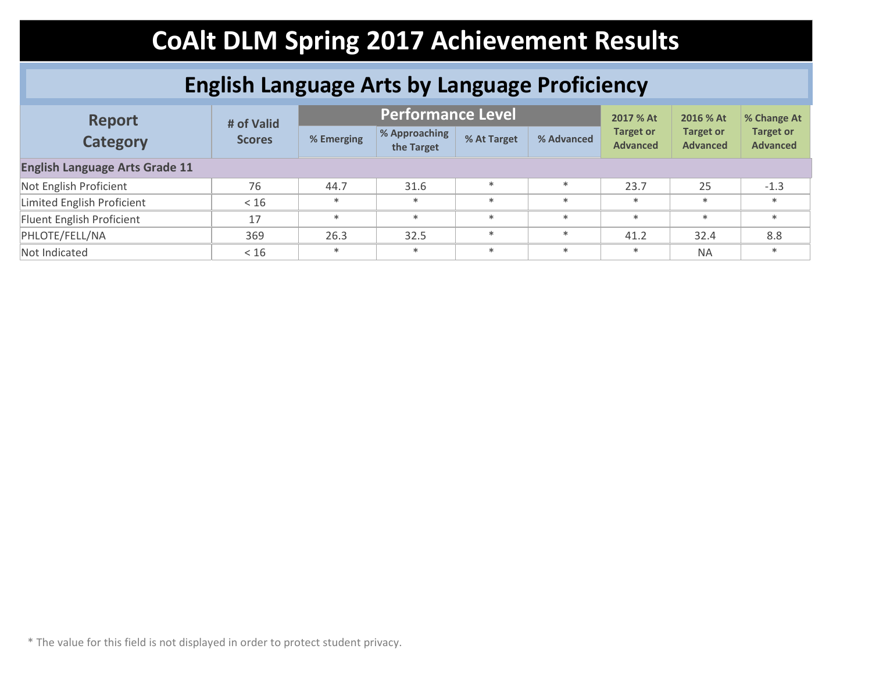### **English Language Arts by Language Proficiency**

| <b>Report</b>                         | # of Valid    |            | <b>Performance Level</b>    | 2017 % At   | 2016 % At  | % Change At                         |                                     |                                     |
|---------------------------------------|---------------|------------|-----------------------------|-------------|------------|-------------------------------------|-------------------------------------|-------------------------------------|
| <b>Category</b>                       | <b>Scores</b> | % Emerging | % Approaching<br>the Target | % At Target | % Advanced | <b>Target or</b><br><b>Advanced</b> | <b>Target or</b><br><b>Advanced</b> | <b>Target or</b><br><b>Advanced</b> |
| <b>English Language Arts Grade 11</b> |               |            |                             |             |            |                                     |                                     |                                     |
| Not English Proficient                | 76            | 44.7       | 31.6                        | $\ast$      | $\ast$     | 23.7                                | 25                                  | $-1.3$                              |
| Limited English Proficient            | < 16          | $*$        | $*$                         | $\ast$      | $\ast$     | $*$                                 | $*$                                 | $\ast$                              |
| Fluent English Proficient             | 17            | $*$        | $*$                         | $\ast$      | $\ast$     | $*$                                 | $\ast$                              | $*$                                 |
| PHLOTE/FELL/NA                        | 369           | 26.3       | 32.5                        | $\ast$      | $\ast$     | 41.2                                | 32.4                                | 8.8                                 |
| Not Indicated                         | < 16          | $*$        | $*$                         | $\ast$      | $\ast$     | $*$                                 | <b>NA</b>                           | $*$                                 |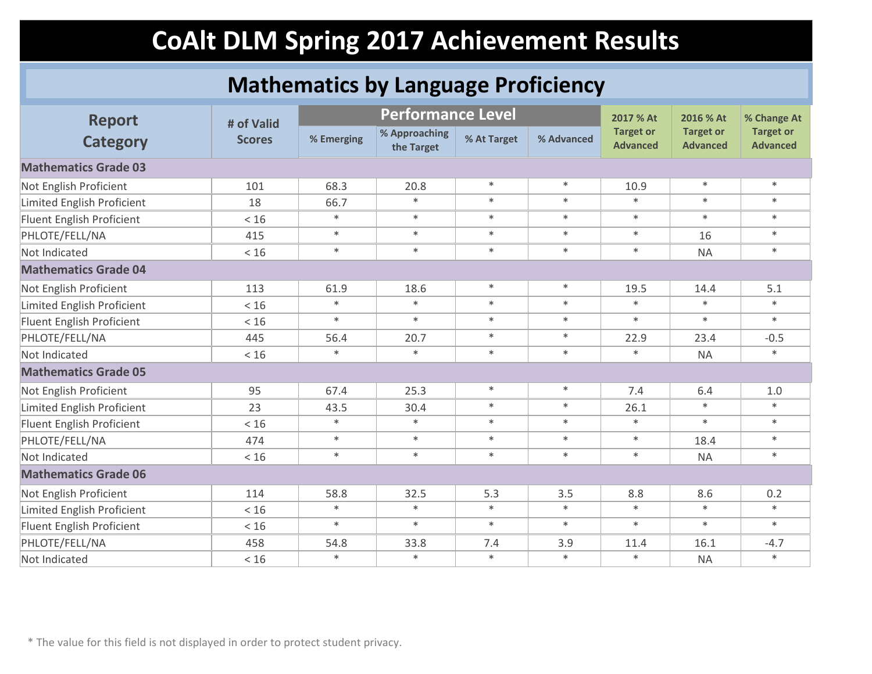#### **Mathematics by Language Proficiency**

| <b>Report</b>                     | # of Valid    | <b>Performance Level</b> |                             |             |            | 2017 % At                           | 2016 % At                           | % Change At                         |
|-----------------------------------|---------------|--------------------------|-----------------------------|-------------|------------|-------------------------------------|-------------------------------------|-------------------------------------|
| <b>Category</b>                   | <b>Scores</b> | % Emerging               | % Approaching<br>the Target | % At Target | % Advanced | <b>Target or</b><br><b>Advanced</b> | <b>Target or</b><br><b>Advanced</b> | <b>Target or</b><br><b>Advanced</b> |
| <b>Mathematics Grade 03</b>       |               |                          |                             |             |            |                                     |                                     |                                     |
| Not English Proficient            | 101           | 68.3                     | 20.8                        | $\ast$      | $\ast$     | 10.9                                | $\ast$                              | $\ast$                              |
| <b>Limited English Proficient</b> | 18            | 66.7                     | $\ast$                      | $\ast$      | $\ast$     | $\ast$                              | $\ast$                              | $\ast$                              |
| Fluent English Proficient         | < 16          | $\ast$                   | $\ast$                      | $\ast$      | $\ast$     | $\ast$                              | $\ast$                              | $*$                                 |
| PHLOTE/FELL/NA                    | 415           | $\ast$                   | $\ast$                      | $\ast$      | $\ast$     | $\ast$                              | 16                                  | $\ast$                              |
| Not Indicated                     | < 16          | $\ast$                   | $\ast$                      | $\ast$      | $\ast$     | $\ast$                              | <b>NA</b>                           | $\ast$                              |
| <b>Mathematics Grade 04</b>       |               |                          |                             |             |            |                                     |                                     |                                     |
| Not English Proficient            | 113           | 61.9                     | 18.6                        | $\ast$      | $\ast$     | 19.5                                | 14.4                                | 5.1                                 |
| Limited English Proficient        | < 16          | $\ast$                   | $\ast$                      | $\ast$      | $\ast$     | $\ast$                              | $\ast$                              | $\ast$                              |
| Fluent English Proficient         | < 16          | $\ast$                   | $\ast$                      | $\ast$      | $\ast$     | $\ast$                              | $\ast$                              | $\ast$                              |
| PHLOTE/FELL/NA                    | 445           | 56.4                     | 20.7                        | $\ast$      | $\ast$     | 22.9                                | 23.4                                | $-0.5$                              |
| Not Indicated                     | < 16          | $\ast$                   | $\ast$                      | $\ast$      | $\ast$     | $\ast$                              | <b>NA</b>                           | $\ast$                              |
| <b>Mathematics Grade 05</b>       |               |                          |                             |             |            |                                     |                                     |                                     |
| Not English Proficient            | 95            | 67.4                     | 25.3                        | $\ast$      | $\ast$     | 7.4                                 | 6.4                                 | 1.0                                 |
| <b>Limited English Proficient</b> | 23            | 43.5                     | 30.4                        | $\ast$      | $\ast$     | 26.1                                | $\ast$                              | $\ast$                              |
| <b>Fluent English Proficient</b>  | < 16          | $\ast$                   | $\ast$                      | $\ast$      | $\ast$     | $\ast$                              | $\ast$                              | $\ast$                              |
| PHLOTE/FELL/NA                    | 474           | $*$                      | $\ast$                      | $\ast$      | $\ast$     | $\ast$                              | 18.4                                | $\ast$                              |
| Not Indicated                     | < 16          | $\ast$                   | $\ast$                      | $\ast$      | $\ast$     | $\ast$                              | <b>NA</b>                           | $\ast$                              |
| <b>Mathematics Grade 06</b>       |               |                          |                             |             |            |                                     |                                     |                                     |
| Not English Proficient            | 114           | 58.8                     | 32.5                        | 5.3         | 3.5        | 8.8                                 | 8.6                                 | 0.2                                 |
| <b>Limited English Proficient</b> | < 16          | $\ast$                   | $\ast$                      | $\ast$      | $\ast$     | $\ast$                              | $\ast$                              | $\ast$                              |
| Fluent English Proficient         | < 16          | $\ast$                   | $\ast$                      | $\ast$      | $\ast$     | $\ast$                              | $\ast$                              | $\ast$                              |
| PHLOTE/FELL/NA                    | 458           | 54.8                     | 33.8                        | 7.4         | 3.9        | 11.4                                | 16.1                                | $-4.7$                              |
| Not Indicated                     | < 16          | $\ast$                   | $\ast$                      | $\ast$      | $\ast$     | $\ast$                              | <b>NA</b>                           | $\ast$                              |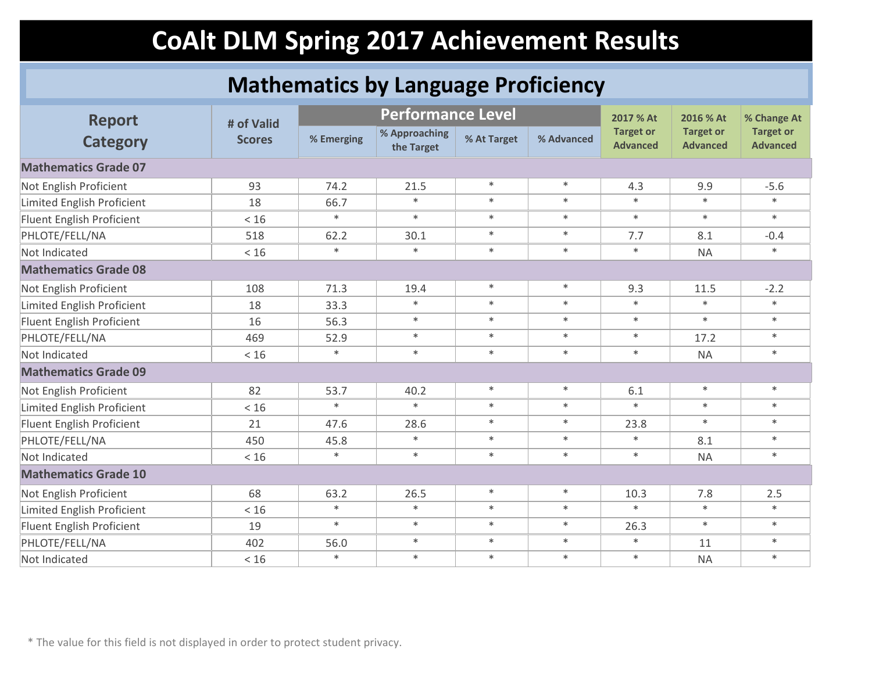#### **Mathematics by Language Proficiency**

| <b>Report</b>                     | # of Valid    |            | <b>Performance Level</b>    |             |            | 2017 % At                           | 2016 % At                           | % Change At                         |
|-----------------------------------|---------------|------------|-----------------------------|-------------|------------|-------------------------------------|-------------------------------------|-------------------------------------|
| <b>Category</b>                   | <b>Scores</b> | % Emerging | % Approaching<br>the Target | % At Target | % Advanced | <b>Target or</b><br><b>Advanced</b> | <b>Target or</b><br><b>Advanced</b> | <b>Target or</b><br><b>Advanced</b> |
| <b>Mathematics Grade 07</b>       |               |            |                             |             |            |                                     |                                     |                                     |
| Not English Proficient            | 93            | 74.2       | 21.5                        | $\ast$      | $\ast$     | 4.3                                 | 9.9                                 | $-5.6$                              |
| Limited English Proficient        | 18            | 66.7       | $\ast$                      | $\ast$      | $\ast$     | $\ast$                              | $\ast$                              | $\ast$                              |
| Fluent English Proficient         | < 16          | $\ast$     | $\ast$                      | $\ast$      | $\ast$     | $\ast$                              | $\ast$                              | $\ast$                              |
| PHLOTE/FELL/NA                    | 518           | 62.2       | 30.1                        | $\ast$      | $\ast$     | 7.7                                 | 8.1                                 | $-0.4$                              |
| Not Indicated                     | < 16          | $\ast$     | $\ast$                      | $\ast$      | $\ast$     | $\ast$                              | <b>NA</b>                           | $\ast$                              |
| <b>Mathematics Grade 08</b>       |               |            |                             |             |            |                                     |                                     |                                     |
| Not English Proficient            | 108           | 71.3       | 19.4                        | $\ast$      | $\ast$     | 9.3                                 | 11.5                                | $-2.2$                              |
| Limited English Proficient        | 18            | 33.3       | $\ast$                      | $\ast$      | $\ast$     | $\ast$                              | $\ast$                              | $\ast$                              |
| Fluent English Proficient         | 16            | 56.3       | $\ast$                      | $\ast$      | $\ast$     | $\ast$                              | $\ast$                              | $\ast$                              |
| PHLOTE/FELL/NA                    | 469           | 52.9       | $\ast$                      | $\ast$      | $\ast$     | $\ast$                              | 17.2                                | $*$                                 |
| Not Indicated                     | < 16          | $\ast$     | $\ast$                      | $\ast$      | $\ast$     | $\ast$                              | <b>NA</b>                           | $\ast$                              |
| <b>Mathematics Grade 09</b>       |               |            |                             |             |            |                                     |                                     |                                     |
| Not English Proficient            | 82            | 53.7       | 40.2                        | $\ast$      | $\ast$     | 6.1                                 | $\ast$                              | $\ast$                              |
| <b>Limited English Proficient</b> | < 16          | $\ast$     | $\ast$                      | $\ast$      | $\ast$     | $\ast$                              | $\ast$                              | $*$                                 |
| Fluent English Proficient         | 21            | 47.6       | 28.6                        | $\ast$      | $\ast$     | 23.8                                | $\ast$                              | $*$                                 |
| PHLOTE/FELL/NA                    | 450           | 45.8       | $\ast$                      | $\ast$      | $\ast$     | $\ast$                              | 8.1                                 | $\ast$                              |
| Not Indicated                     | < 16          | $\ast$     | $\ast$                      | $\ast$      | $\ast$     | $\ast$                              | <b>NA</b>                           | $*$                                 |
| <b>Mathematics Grade 10</b>       |               |            |                             |             |            |                                     |                                     |                                     |
| Not English Proficient            | 68            | 63.2       | 26.5                        | $\ast$      | $\ast$     | 10.3                                | 7.8                                 | 2.5                                 |
| Limited English Proficient        | < 16          | $\ast$     | $\ast$                      | $\ast$      | $\ast$     | $\ast$                              | $\ast$                              | $\ast$                              |
| Fluent English Proficient         | 19            | $\ast$     | $\ast$                      | $\ast$      | $\ast$     | 26.3                                | $\ast$                              | $\ast$                              |
| PHLOTE/FELL/NA                    | 402           | 56.0       | $\ast$                      | $\ast$      | $\ast$     | $\ast$                              | 11                                  | $*$                                 |
| Not Indicated                     | < 16          | $\ast$     | $\ast$                      | $\ast$      | $\ast$     | $\ast$                              | <b>NA</b>                           | $\ast$                              |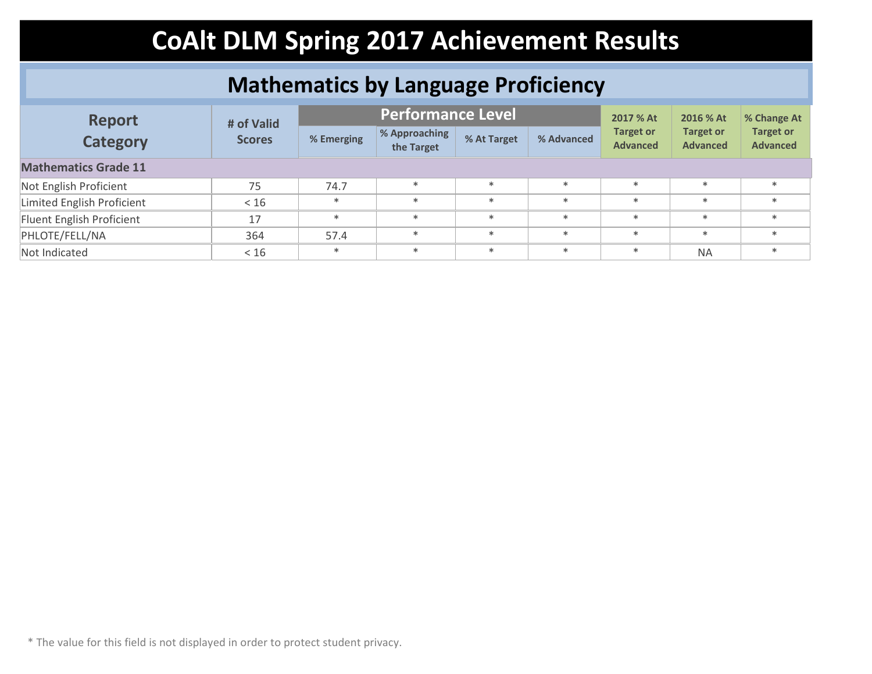#### **Mathematics by Language Proficiency**

| <b>Report</b><br><b>Category</b> | # of Valid    |            | <b>Performance Level</b>    | 2017 % At   | 2016 % At  | % Change At                         |                                     |                                     |
|----------------------------------|---------------|------------|-----------------------------|-------------|------------|-------------------------------------|-------------------------------------|-------------------------------------|
|                                  | <b>Scores</b> | % Emerging | % Approaching<br>the Target | % At Target | % Advanced | <b>Target or</b><br><b>Advanced</b> | <b>Target or</b><br><b>Advanced</b> | <b>Target or</b><br><b>Advanced</b> |
| <b>Mathematics Grade 11</b>      |               |            |                             |             |            |                                     |                                     |                                     |
| Not English Proficient           | 75            | 74.7       | $*$                         | $\ast$      | $\ast$     | $*$                                 | $*$                                 | $*$                                 |
| Limited English Proficient       | < 16          | $*$        | $*$                         | $\ast$      | $\ast$     | $*$                                 | $\ast$                              | $*$                                 |
| Fluent English Proficient        | 17            | $*$        | $*$                         | $\ast$      | $\ast$     | $*$                                 | $\ast$                              | $*$                                 |
| PHLOTE/FELL/NA                   | 364           | 57.4       | $*$                         | $\ast$      | $\ast$     | $\ast$                              | $*$                                 | $\ast$                              |
| Not Indicated                    | < 16          | $*$        | $\ast$                      | $\ast$      | $\ast$     | $*$                                 | <b>NA</b>                           | $\ast$                              |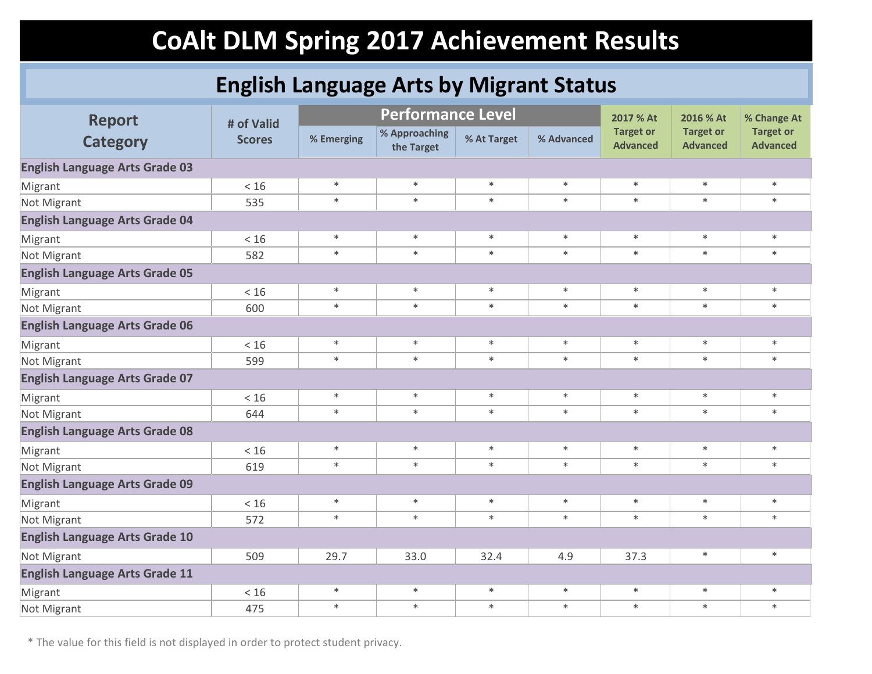### **English Language Arts by Migrant Status**

| <b>Report</b>                         | # of Valid    |            | <b>Performance Level</b>    |             |            |                                     | 2016 % At                           | % Change At                         |
|---------------------------------------|---------------|------------|-----------------------------|-------------|------------|-------------------------------------|-------------------------------------|-------------------------------------|
| <b>Category</b>                       | <b>Scores</b> | % Emerging | % Approaching<br>the Target | % At Target | % Advanced | <b>Target or</b><br><b>Advanced</b> | <b>Target or</b><br><b>Advanced</b> | <b>Target or</b><br><b>Advanced</b> |
| <b>English Language Arts Grade 03</b> |               |            |                             |             |            |                                     |                                     |                                     |
| Migrant                               | < 16          | $\ast$     | $\ast$                      | $\ast$      | $\ast$     | $\ast$                              | $\ast$                              | $\ast$                              |
| Not Migrant                           | 535           | $*$        | $\ast$                      | $\ast$      | $\ast$     | $\ast$                              | $\ast$                              | $\ast$                              |
| <b>English Language Arts Grade 04</b> |               |            |                             |             |            |                                     |                                     |                                     |
| Migrant                               | $<16$         | $\ast$     | $\ast$                      | $\ast$      | $\ast$     | $\ast$                              | $\ast$                              | $\ast$                              |
| Not Migrant                           | 582           | $\ast$     | $\ast$                      | $\ast$      | $\ast$     | $\ast$                              | $\ast$                              | $\ast$                              |
| <b>English Language Arts Grade 05</b> |               |            |                             |             |            |                                     |                                     |                                     |
| Migrant                               | < 16          | $\ast$     | $\ast$                      | $\ast$      | $\ast$     | $\ast$                              | $\ast$                              | $\ast$                              |
| Not Migrant                           | 600           | $\ast$     | $\ast$                      | $\ast$      | $\ast$     | $\ast$                              | $\ast$                              | $\ast$                              |
| <b>English Language Arts Grade 06</b> |               |            |                             |             |            |                                     |                                     |                                     |
| Migrant                               | $<16$         | $\ast$     | $\ast$                      | $\ast$      | $\ast$     | $\ast$                              | $\ast$                              | $\ast$                              |
| Not Migrant                           | 599           | $\ast$     | $\ast$                      | $\ast$      | $\ast$     | $\ast$                              | $\ast$                              | $\ast$                              |
| <b>English Language Arts Grade 07</b> |               |            |                             |             |            |                                     |                                     |                                     |
| Migrant                               | $<16$         | $\ast$     | $\ast$                      | $\ast$      | $\ast$     | $\ast$                              | $\ast$                              | $\ast$                              |
| Not Migrant                           | 644           | $\ast$     | $\ast$                      | $\ast$      | $\ast$     | $\ast$                              | $\ast$                              | $\ast$                              |
| <b>English Language Arts Grade 08</b> |               |            |                             |             |            |                                     |                                     |                                     |
| Migrant                               | < 16          | $\ast$     | $\ast$                      | $\ast$      | $\ast$     | $\ast$                              | $\ast$                              | $\ast$                              |
| Not Migrant                           | 619           | $\ast$     | $\ast$                      | $\ast$      | $\ast$     | $\ast$                              | $\ast$                              | $\ast$                              |
| <b>English Language Arts Grade 09</b> |               |            |                             |             |            |                                     |                                     |                                     |
| Migrant                               | $<16$         | $\ast$     | $\ast$                      | $\ast$      | $\ast$     | $\ast$                              | $\ast$                              | $\ast$                              |
| Not Migrant                           | 572           | $\ast$     | $\ast$                      | $\ast$      | $\ast$     | $\ast$                              | $\ast$                              | $\ast$                              |
| <b>English Language Arts Grade 10</b> |               |            |                             |             |            |                                     |                                     |                                     |
| Not Migrant                           | 509           | 29.7       | 33.0                        | 32.4        | 4.9        | 37.3                                | $\ast$                              | $\ast$                              |
| <b>English Language Arts Grade 11</b> |               |            |                             |             |            |                                     |                                     |                                     |
| Migrant                               | < 16          | $\ast$     | $\ast$                      | $\ast$      | $\ast$     | $\ast$                              | $\ast$                              | $\ast$                              |
| Not Migrant                           | 475           | $\ast$     | $\ast$                      | $\ast$      | $\ast$     | $\ast$                              | $\ast$                              | $\ast$                              |